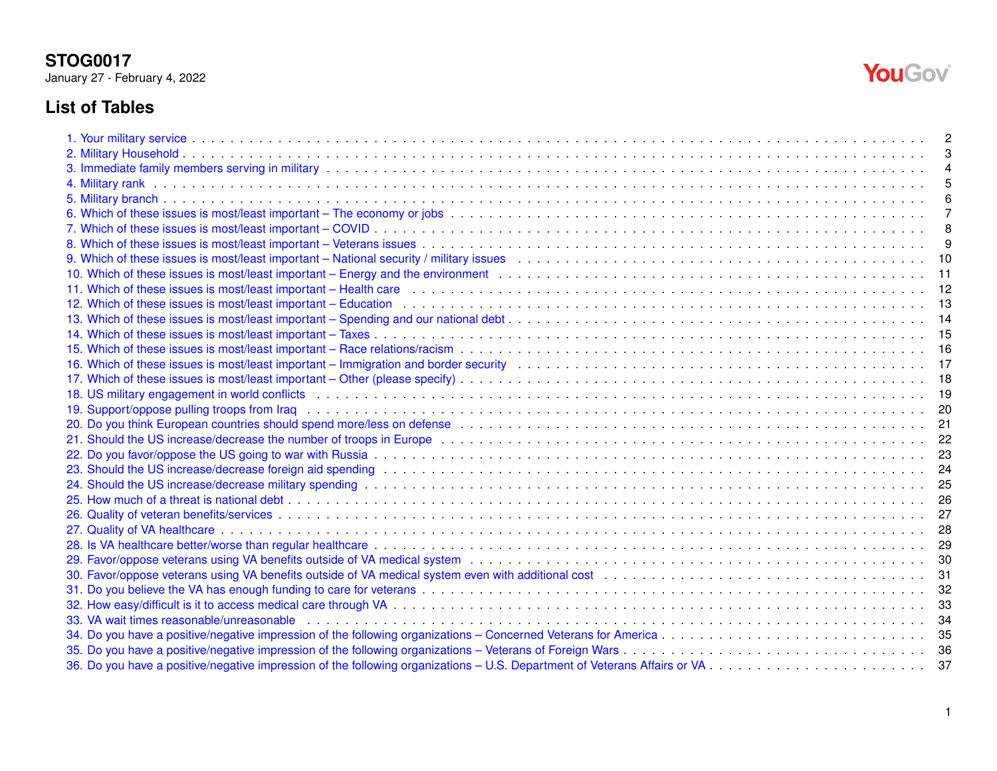January 27 - February 4, 2022

# **List of Tables**

| 9. Which of these issues is most/least important – National security / military issues (a) the content of the content of these issues and the content of these issues and the content of the content of the content of the con | 10 |
|--------------------------------------------------------------------------------------------------------------------------------------------------------------------------------------------------------------------------------|----|
|                                                                                                                                                                                                                                |    |
| 11. Which of these issues is most/least important – Health care enterprised and the content of the server in the server of the server of the server of the server of the server of the server of the server of the server of t |    |
| 12. Which of these issues is most/least important – Education enterpresent and the content of the server and the server and the server and the server and the server and the server and the server and the server and the serv |    |
|                                                                                                                                                                                                                                |    |
|                                                                                                                                                                                                                                |    |
|                                                                                                                                                                                                                                |    |
|                                                                                                                                                                                                                                |    |
|                                                                                                                                                                                                                                |    |
| 18. US military engagement in world conflicts enterpresent and the control of the control of the control of the content of the content of the content of the content of the content of the content of the content of the conte |    |
|                                                                                                                                                                                                                                |    |
|                                                                                                                                                                                                                                |    |
|                                                                                                                                                                                                                                | 22 |
|                                                                                                                                                                                                                                |    |
|                                                                                                                                                                                                                                |    |
|                                                                                                                                                                                                                                |    |
|                                                                                                                                                                                                                                |    |
|                                                                                                                                                                                                                                |    |
|                                                                                                                                                                                                                                |    |
|                                                                                                                                                                                                                                |    |
|                                                                                                                                                                                                                                |    |
|                                                                                                                                                                                                                                |    |
|                                                                                                                                                                                                                                |    |
|                                                                                                                                                                                                                                |    |
| 33. VA wait times reasonable/unreasonable enterpreeding to community of the control of the content of the content of the content of the content of the content of the content of the content of the content of the content of  |    |
|                                                                                                                                                                                                                                |    |
|                                                                                                                                                                                                                                | 36 |
| 36. Do you have a positive/negative impression of the following organizations – U.S. Department of Veterans Affairs or VA Community of the server we can be a server we can be a server we can be a server with the basic or   | 37 |

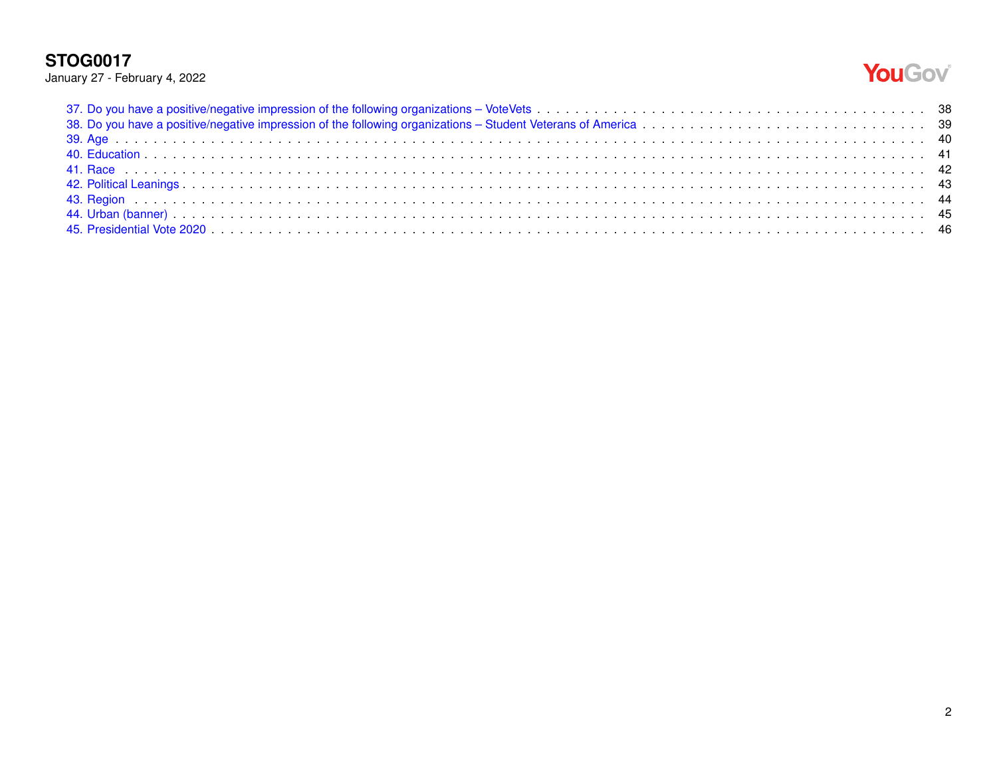# YouGov®

|  |  | January 27 - February 4, 2022 |  |  |  |
|--|--|-------------------------------|--|--|--|
|--|--|-------------------------------|--|--|--|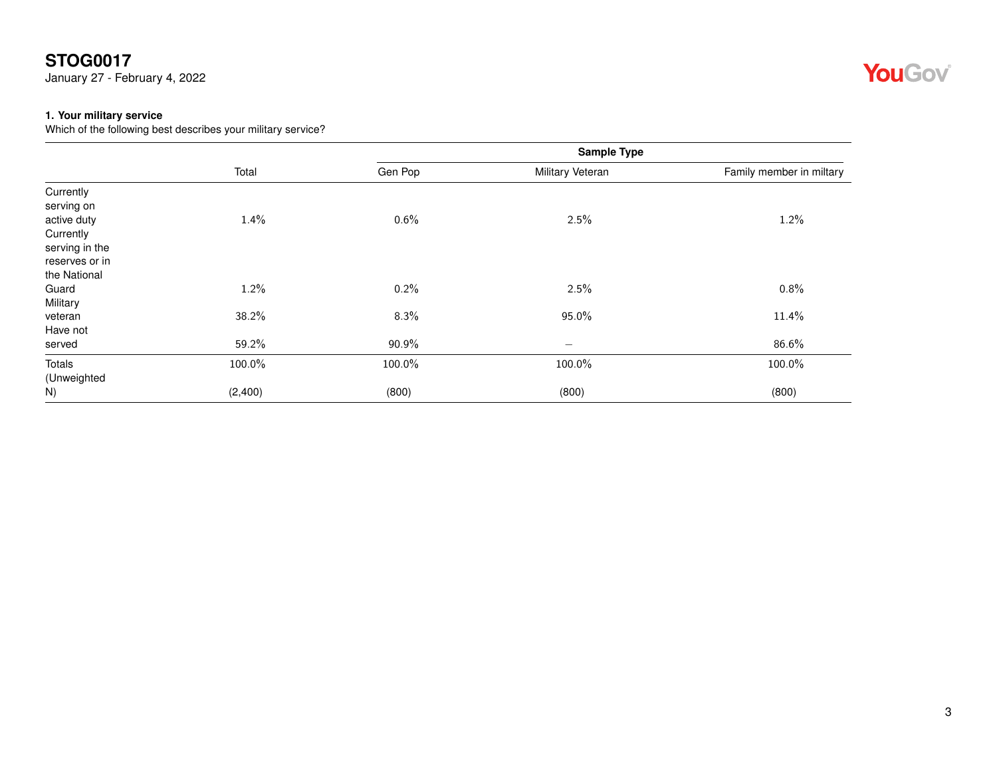January 27 - February 4, 2022

#### <span id="page-2-0"></span>**1. Your military service**

Which of the following best describes your military service?

|                |         |         | Sample Type              |                          |
|----------------|---------|---------|--------------------------|--------------------------|
|                | Total   | Gen Pop | Military Veteran         | Family member in miltary |
| Currently      |         |         |                          |                          |
| serving on     |         |         |                          |                          |
| active duty    | 1.4%    | 0.6%    | 2.5%                     | 1.2%                     |
| Currently      |         |         |                          |                          |
| serving in the |         |         |                          |                          |
| reserves or in |         |         |                          |                          |
| the National   |         |         |                          |                          |
| Guard          | 1.2%    | 0.2%    | 2.5%                     | 0.8%                     |
| Military       |         |         |                          |                          |
| veteran        | 38.2%   | 8.3%    | 95.0%                    | 11.4%                    |
| Have not       |         |         |                          |                          |
| served         | 59.2%   | 90.9%   | $\overline{\phantom{0}}$ | 86.6%                    |
| <b>Totals</b>  | 100.0%  | 100.0%  | 100.0%                   | 100.0%                   |
| (Unweighted    |         |         |                          |                          |
| N)             | (2,400) | (800)   | (800)                    | (800)                    |

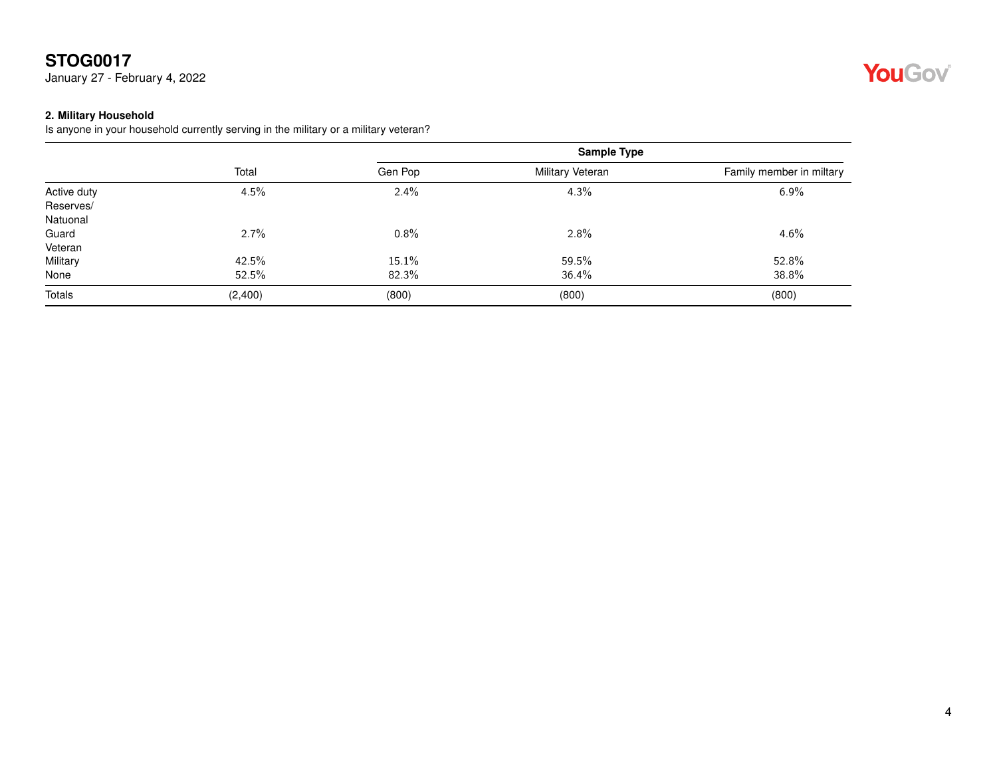January 27 - February 4, 2022

#### <span id="page-3-0"></span>**2. Military Household**

Is anyone in your household currently serving in the military or a military veteran?

|             |         |         | <b>Sample Type</b> |                          |
|-------------|---------|---------|--------------------|--------------------------|
|             | Total   | Gen Pop | Military Veteran   | Family member in miltary |
| Active duty | 4.5%    | 2.4%    | 4.3%               | 6.9%                     |
| Reserves/   |         |         |                    |                          |
| Natuonal    |         |         |                    |                          |
| Guard       | 2.7%    | 0.8%    | 2.8%               | 4.6%                     |
| Veteran     |         |         |                    |                          |
| Military    | 42.5%   | 15.1%   | 59.5%              | 52.8%                    |
| None        | 52.5%   | 82.3%   | 36.4%              | 38.8%                    |
| Totals      | (2,400) | (800)   | (800)              | (800)                    |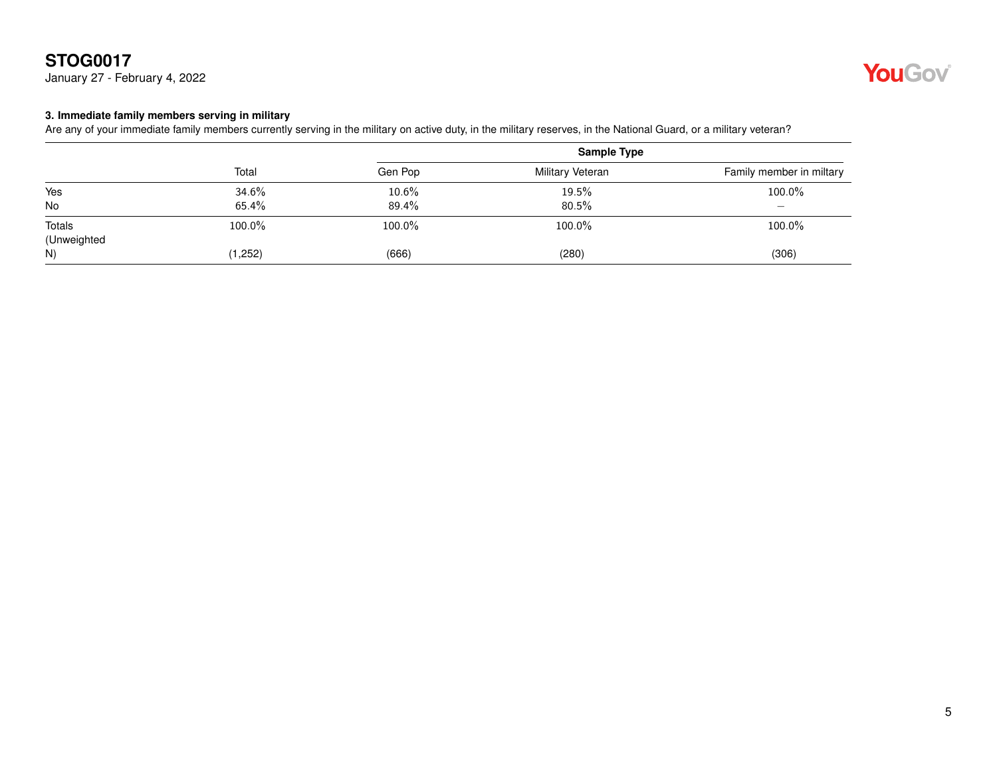January 27 - February 4, 2022



#### <span id="page-4-0"></span>**3. Immediate family members serving in military**

Are any of your immediate family members currently serving in the military on active duty, in the military reserves, in the National Guard, or a military veteran?

|                              |         | <b>Sample Type</b> |                  |                          |
|------------------------------|---------|--------------------|------------------|--------------------------|
|                              | Total   | Gen Pop            | Military Veteran | Family member in miltary |
| Yes                          | 34.6%   | 10.6%              | 19.5%            | 100.0%                   |
| No                           | 65.4%   | 89.4%              | 80.5%            | $\overline{\phantom{0}}$ |
| <b>Totals</b><br>(Unweighted | 100.0%  | 100.0%             | 100.0%           | 100.0%                   |
| N)                           | (1,252) | (666)              | (280)            | (306)                    |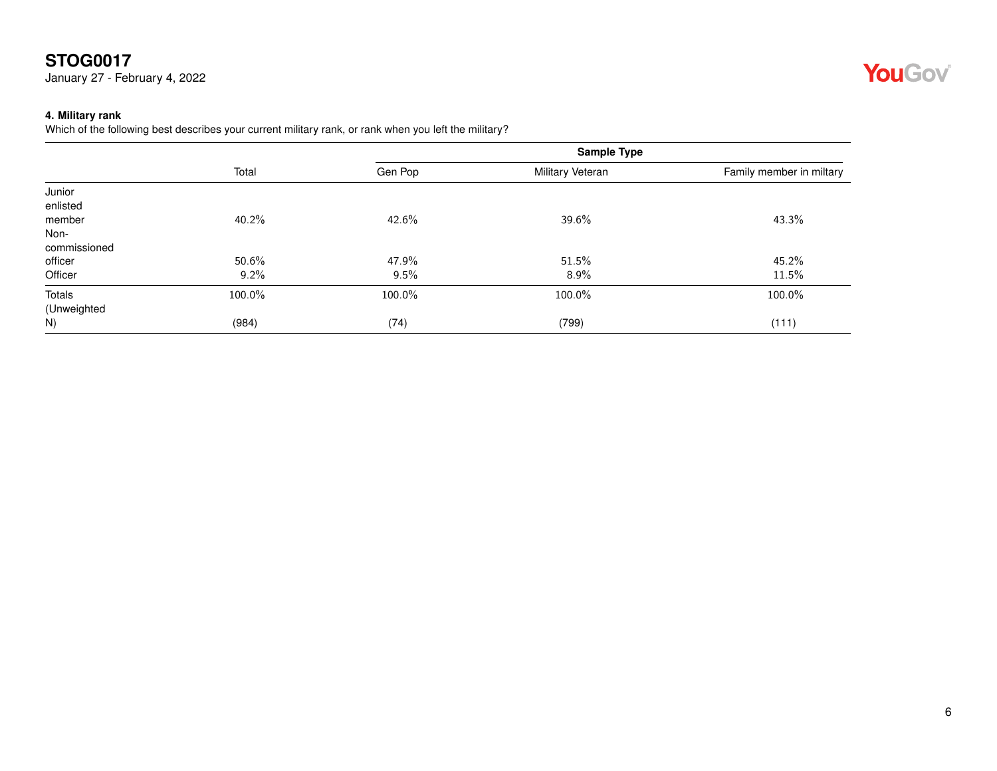January 27 - February 4, 2022

#### <span id="page-5-0"></span>**4. Military rank**

Which of the following best describes your current military rank, or rank when you left the military?

|              | Total  | Gen Pop | Military Veteran | Family member in miltary |
|--------------|--------|---------|------------------|--------------------------|
| Junior       |        |         |                  |                          |
| enlisted     |        |         |                  |                          |
| member       | 40.2%  | 42.6%   | 39.6%            | 43.3%                    |
| Non-         |        |         |                  |                          |
| commissioned |        |         |                  |                          |
| officer      | 50.6%  | 47.9%   | 51.5%            | 45.2%                    |
| Officer      | 9.2%   | 9.5%    | $8.9\%$          | 11.5%                    |
| Totals       | 100.0% | 100.0%  | 100.0%           | 100.0%                   |
| (Unweighted  |        |         |                  |                          |
| N)           | (984)  | (74)    | (799)            | (111)                    |

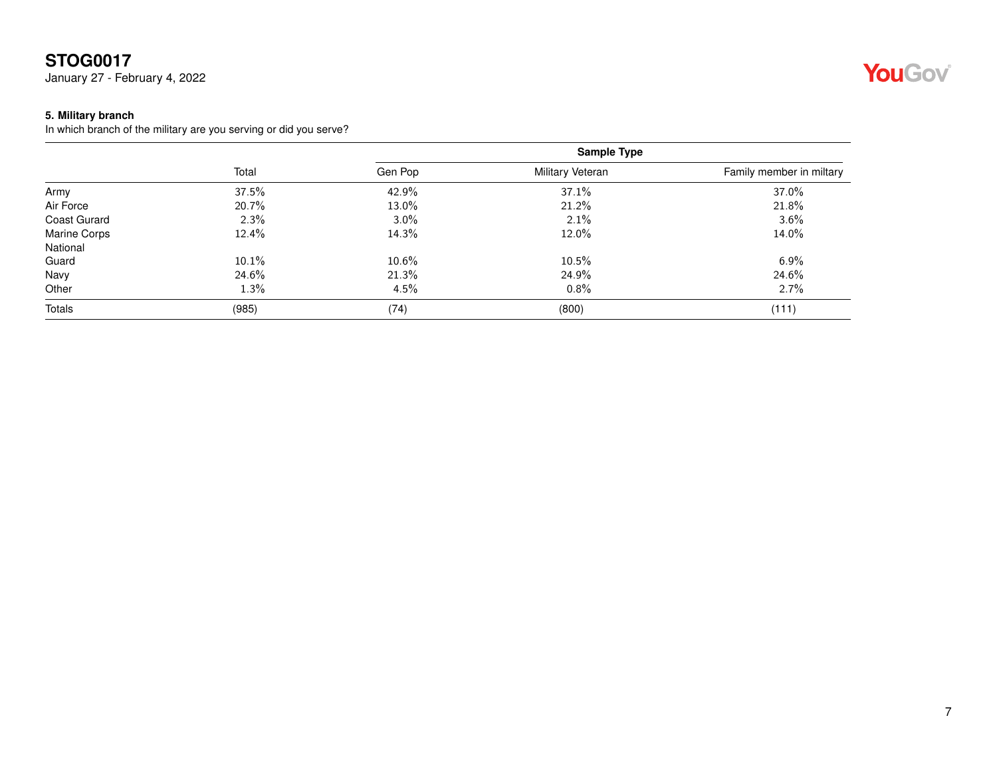January 27 - February 4, 2022

#### <span id="page-6-0"></span>**5. Military branch**

In which branch of the military are you serving or did you serve?

|                     |       |         |                  | <b>Sample Type</b>       |  |
|---------------------|-------|---------|------------------|--------------------------|--|
|                     | Total | Gen Pop | Military Veteran | Family member in miltary |  |
| Army                | 37.5% | 42.9%   | 37.1%            | 37.0%                    |  |
| Air Force           | 20.7% | 13.0%   | 21.2%            | 21.8%                    |  |
| <b>Coast Gurard</b> | 2.3%  | $3.0\%$ | 2.1%             | 3.6%                     |  |
| <b>Marine Corps</b> | 12.4% | 14.3%   | 12.0%            | 14.0%                    |  |
| National            |       |         |                  |                          |  |
| Guard               | 10.1% | 10.6%   | 10.5%            | 6.9%                     |  |
| Navy                | 24.6% | 21.3%   | 24.9%            | 24.6%                    |  |
| Other               | 1.3%  | $4.5\%$ | 0.8%             | 2.7%                     |  |
| Totals              | (985) | (74)    | (800)            | (111)                    |  |

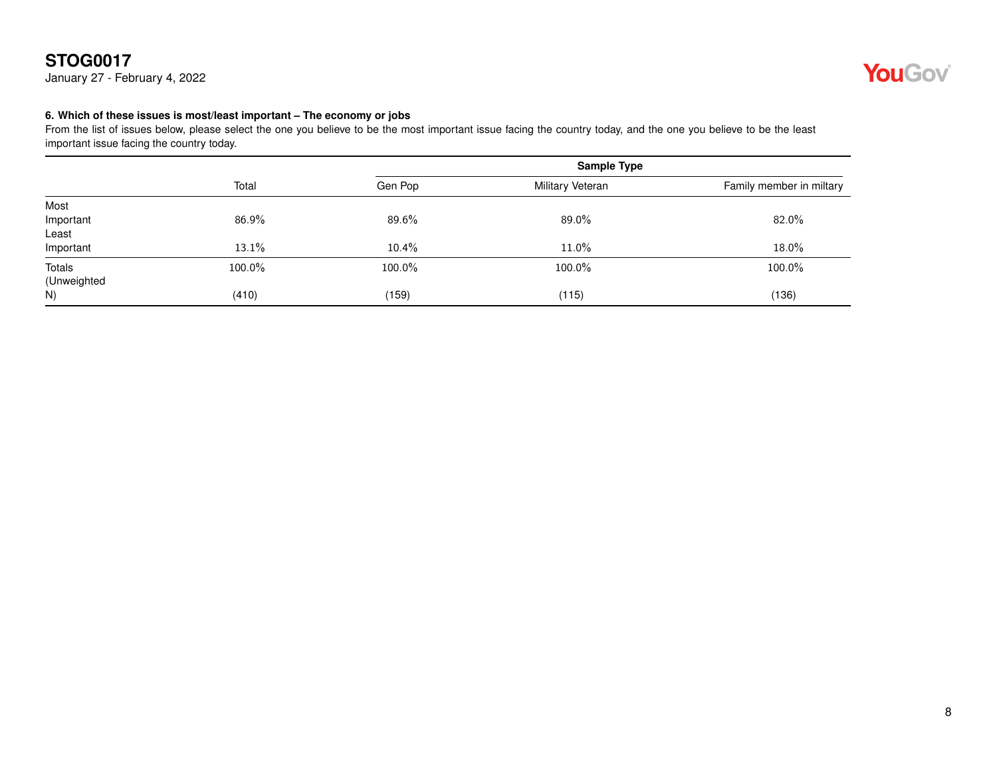January 27 - February 4, 2022



#### <span id="page-7-0"></span>**6. Which of these issues is most/least important – The economy or jobs**

|             |        | <b>Sample Type</b> |                  |                          |
|-------------|--------|--------------------|------------------|--------------------------|
|             | Total  | Gen Pop            | Military Veteran | Family member in miltary |
| Most        |        |                    |                  |                          |
| Important   | 86.9%  | 89.6%              | 89.0%            | 82.0%                    |
| Least       |        |                    |                  |                          |
| Important   | 13.1%  | 10.4%              | 11.0%            | 18.0%                    |
| Totals      | 100.0% | 100.0%             | 100.0%           | 100.0%                   |
| (Unweighted |        |                    |                  |                          |
| N)          | (410)  | (159)              | (115)            | (136)                    |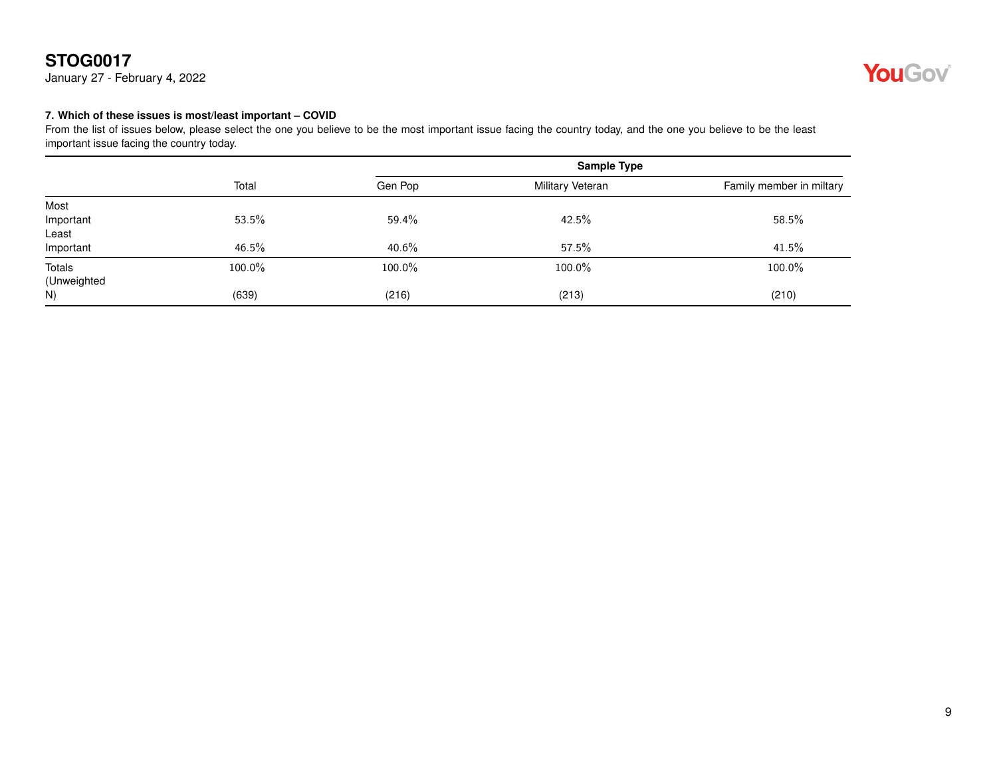January 27 - February 4, 2022



#### <span id="page-8-0"></span>**7. Which of these issues is most/least important – COVID**

|             |        | <b>Sample Type</b> |                  |                          |
|-------------|--------|--------------------|------------------|--------------------------|
|             | Total  | Gen Pop            | Military Veteran | Family member in miltary |
| Most        |        |                    |                  |                          |
| Important   | 53.5%  | 59.4%              | 42.5%            | 58.5%                    |
| Least       |        |                    |                  |                          |
| Important   | 46.5%  | 40.6%              | 57.5%            | 41.5%                    |
| Totals      | 100.0% | 100.0%             | 100.0%           | 100.0%                   |
| (Unweighted |        |                    |                  |                          |
| N)          | (639)  | (216)              | (213)            | (210)                    |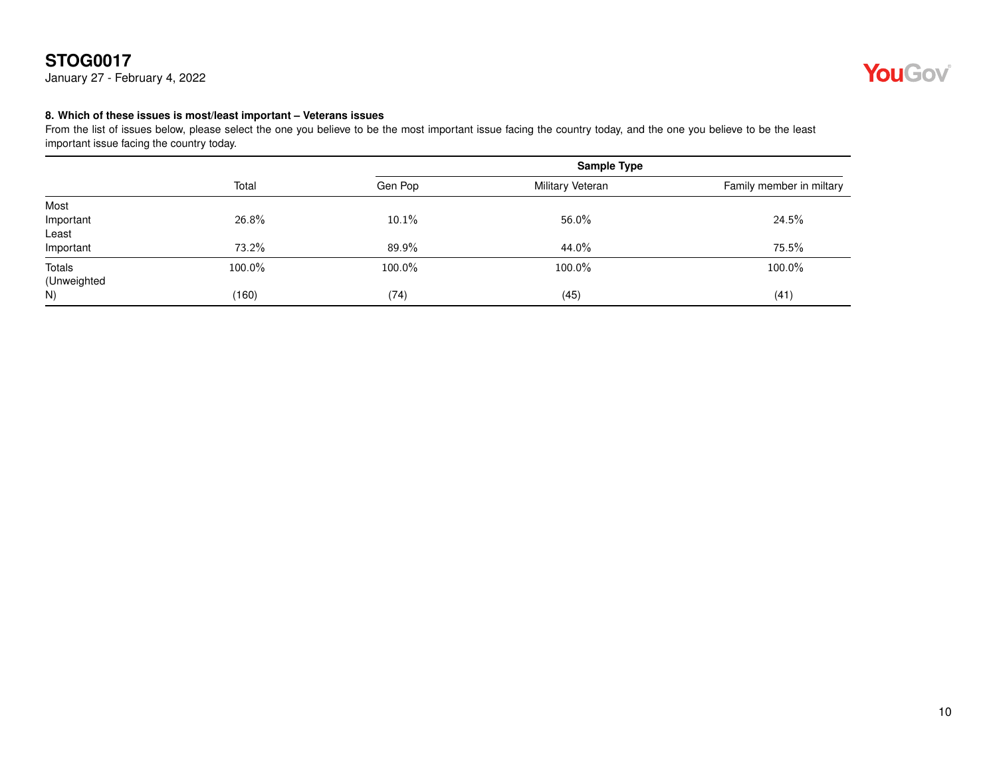January 27 - February 4, 2022



#### <span id="page-9-0"></span>**8. Which of these issues is most/least important – Veterans issues**

|             |        | <b>Sample Type</b> |                  |                          |
|-------------|--------|--------------------|------------------|--------------------------|
|             | Total  | Gen Pop            | Military Veteran | Family member in miltary |
| Most        |        |                    |                  |                          |
| Important   | 26.8%  | 10.1%              | 56.0%            | 24.5%                    |
| Least       |        |                    |                  |                          |
| Important   | 73.2%  | 89.9%              | 44.0%            | 75.5%                    |
| Totals      | 100.0% | 100.0%             | 100.0%           | 100.0%                   |
| (Unweighted |        |                    |                  |                          |
| N)          | (160)  | (74)               | (45)             | (41)                     |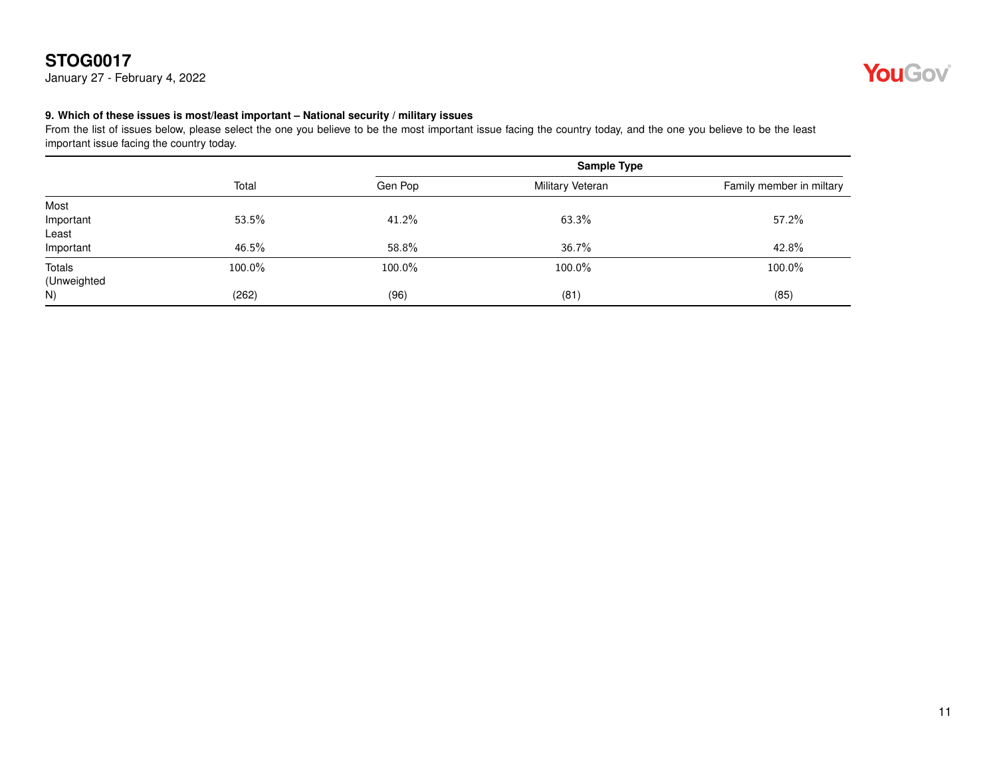January 27 - February 4, 2022



#### <span id="page-10-0"></span>**9. Which of these issues is most/least important – National security / military issues**

|             |        | <b>Sample Type</b> |                  |                          |
|-------------|--------|--------------------|------------------|--------------------------|
|             | Total  | Gen Pop            | Military Veteran | Family member in miltary |
| Most        |        |                    |                  |                          |
| Important   | 53.5%  | 41.2%              | 63.3%            | 57.2%                    |
| Least       |        |                    |                  |                          |
| Important   | 46.5%  | 58.8%              | 36.7%            | 42.8%                    |
| Totals      | 100.0% | 100.0%             | 100.0%           | 100.0%                   |
| (Unweighted |        |                    |                  |                          |
| N)          | (262)  | (96)               | (81)             | (85)                     |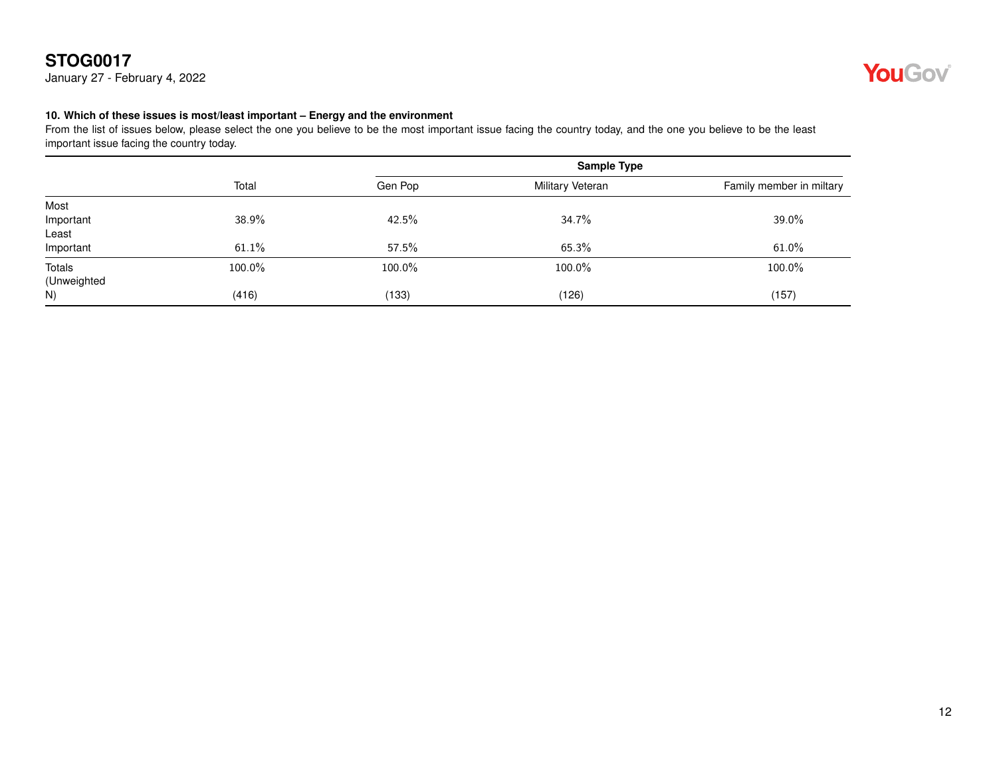January 27 - February 4, 2022



#### <span id="page-11-0"></span>**10. Which of these issues is most/least important – Energy and the environment**

|             |        |         | <b>Sample Type</b> |                          |
|-------------|--------|---------|--------------------|--------------------------|
|             | Total  | Gen Pop | Military Veteran   | Family member in miltary |
| Most        |        |         |                    |                          |
| Important   | 38.9%  | 42.5%   | 34.7%              | 39.0%                    |
| Least       |        |         |                    |                          |
| Important   | 61.1%  | 57.5%   | 65.3%              | 61.0%                    |
| Totals      | 100.0% | 100.0%  | 100.0%             | 100.0%                   |
| (Unweighted |        |         |                    |                          |
| N)          | (416)  | (133)   | (126)              | (157)                    |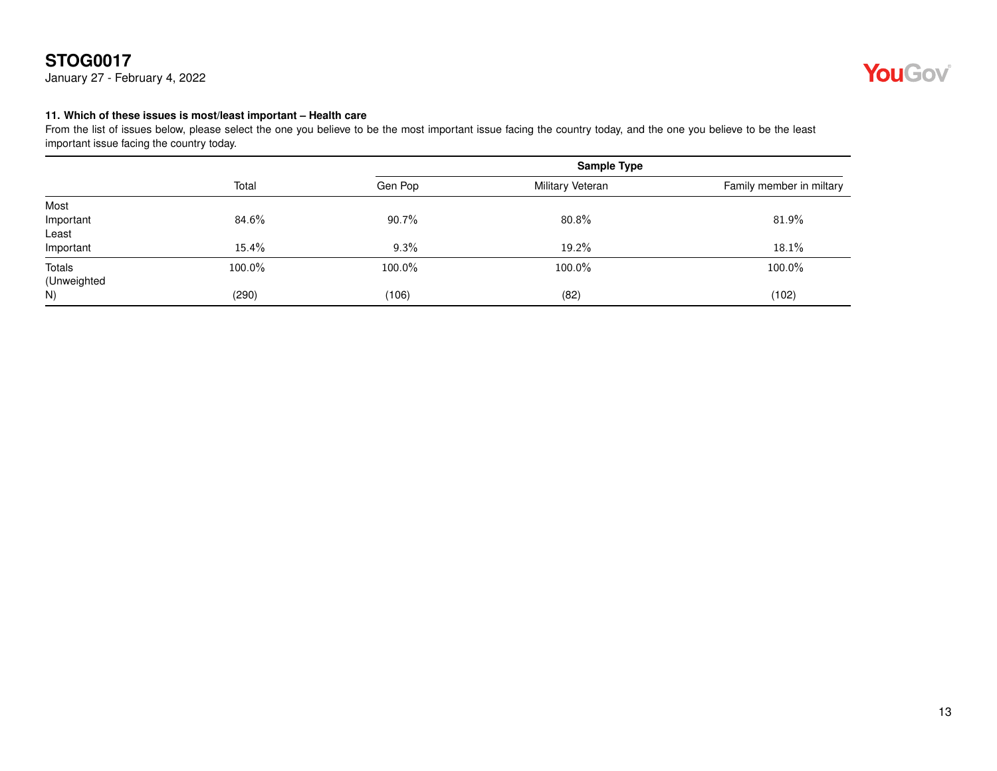January 27 - February 4, 2022



#### <span id="page-12-0"></span>**11. Which of these issues is most/least important – Health care**

|             | Total  | <b>Sample Type</b> |                  |                          |
|-------------|--------|--------------------|------------------|--------------------------|
|             |        | Gen Pop            | Military Veteran | Family member in miltary |
| Most        |        |                    |                  |                          |
| Important   | 84.6%  | 90.7%              | 80.8%            | 81.9%                    |
| Least       |        |                    |                  |                          |
| Important   | 15.4%  | 9.3%               | 19.2%            | 18.1%                    |
| Totals      | 100.0% | 100.0%             | 100.0%           | 100.0%                   |
| (Unweighted |        |                    |                  |                          |
| N)          | (290)  | (106)              | (82)             | (102)                    |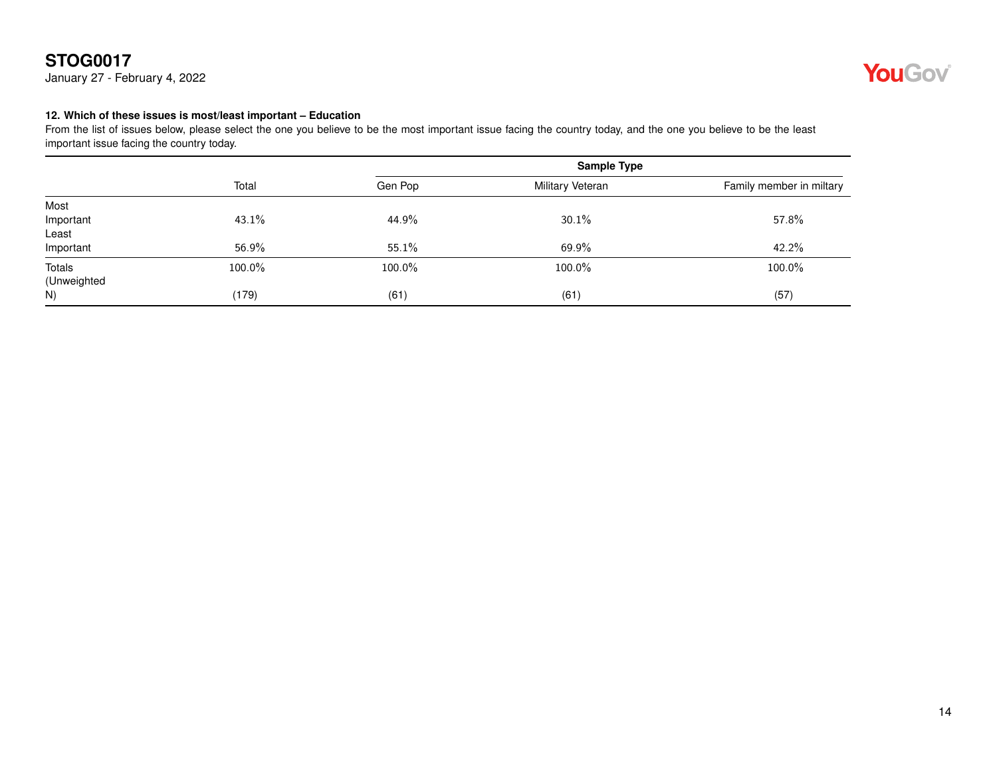January 27 - February 4, 2022



#### <span id="page-13-0"></span>**12. Which of these issues is most/least important – Education**

|             | Total  | <b>Sample Type</b> |                  |                          |
|-------------|--------|--------------------|------------------|--------------------------|
|             |        | Gen Pop            | Military Veteran | Family member in miltary |
| Most        |        |                    |                  |                          |
| Important   | 43.1%  | 44.9%              | 30.1%            | 57.8%                    |
| Least       |        |                    |                  |                          |
| Important   | 56.9%  | 55.1%              | 69.9%            | 42.2%                    |
| Totals      | 100.0% | 100.0%             | 100.0%           | 100.0%                   |
| (Unweighted |        |                    |                  |                          |
| N)          | (179)  | (61)               | (61)             | (57)                     |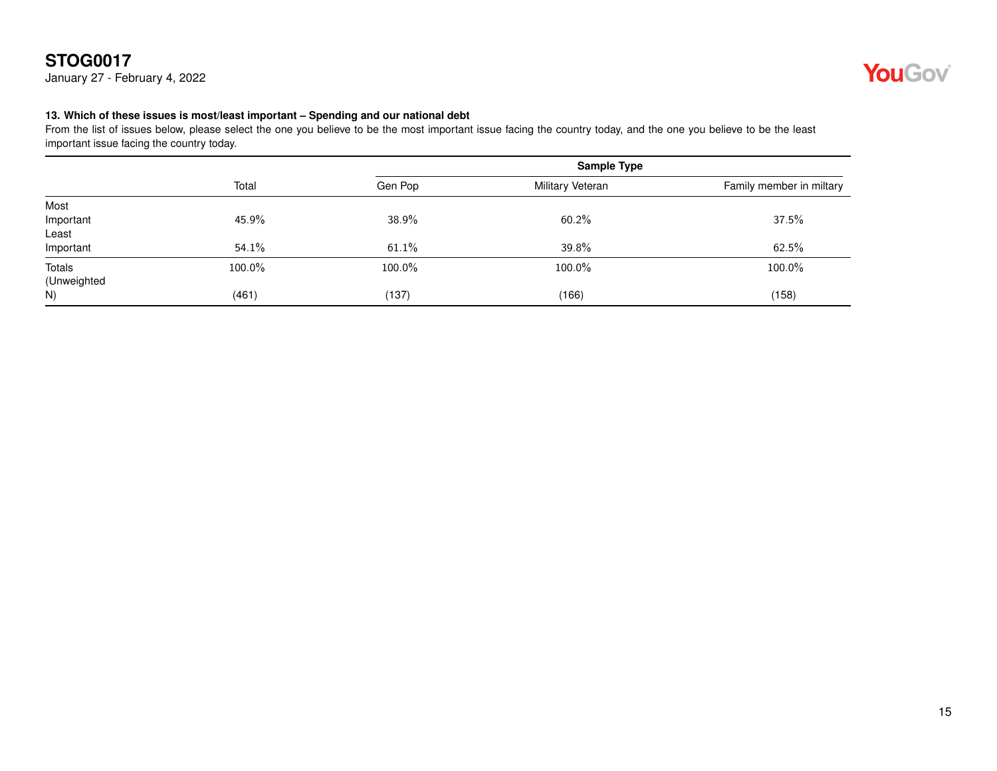January 27 - February 4, 2022



#### <span id="page-14-0"></span>**13. Which of these issues is most/least important – Spending and our national debt**

|             | Total  | <b>Sample Type</b> |                  |                          |
|-------------|--------|--------------------|------------------|--------------------------|
|             |        | Gen Pop            | Military Veteran | Family member in miltary |
| Most        |        |                    |                  |                          |
| Important   | 45.9%  | 38.9%              | 60.2%            | 37.5%                    |
| Least       |        |                    |                  |                          |
| Important   | 54.1%  | 61.1%              | 39.8%            | 62.5%                    |
| Totals      | 100.0% | 100.0%             | 100.0%           | 100.0%                   |
| (Unweighted |        |                    |                  |                          |
| N)          | (461)  | (137)              | (166)            | (158)                    |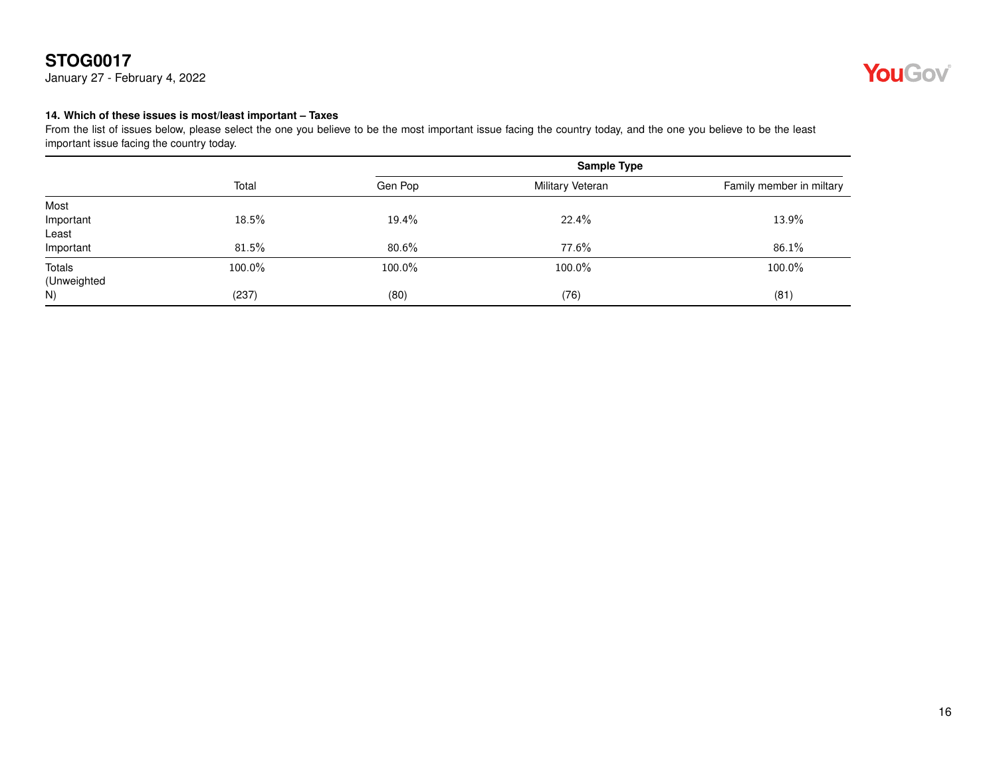January 27 - February 4, 2022



#### <span id="page-15-0"></span>**14. Which of these issues is most/least important – Taxes**

|             | Total  | <b>Sample Type</b> |                  |                          |
|-------------|--------|--------------------|------------------|--------------------------|
|             |        | Gen Pop            | Military Veteran | Family member in miltary |
| Most        |        |                    |                  |                          |
| Important   | 18.5%  | 19.4%              | 22.4%            | 13.9%                    |
| Least       |        |                    |                  |                          |
| Important   | 81.5%  | $80.6\%$           | 77.6%            | 86.1%                    |
| Totals      | 100.0% | 100.0%             | 100.0%           | 100.0%                   |
| (Unweighted |        |                    |                  |                          |
| N)          | (237)  | (80)               | (76)             | (81)                     |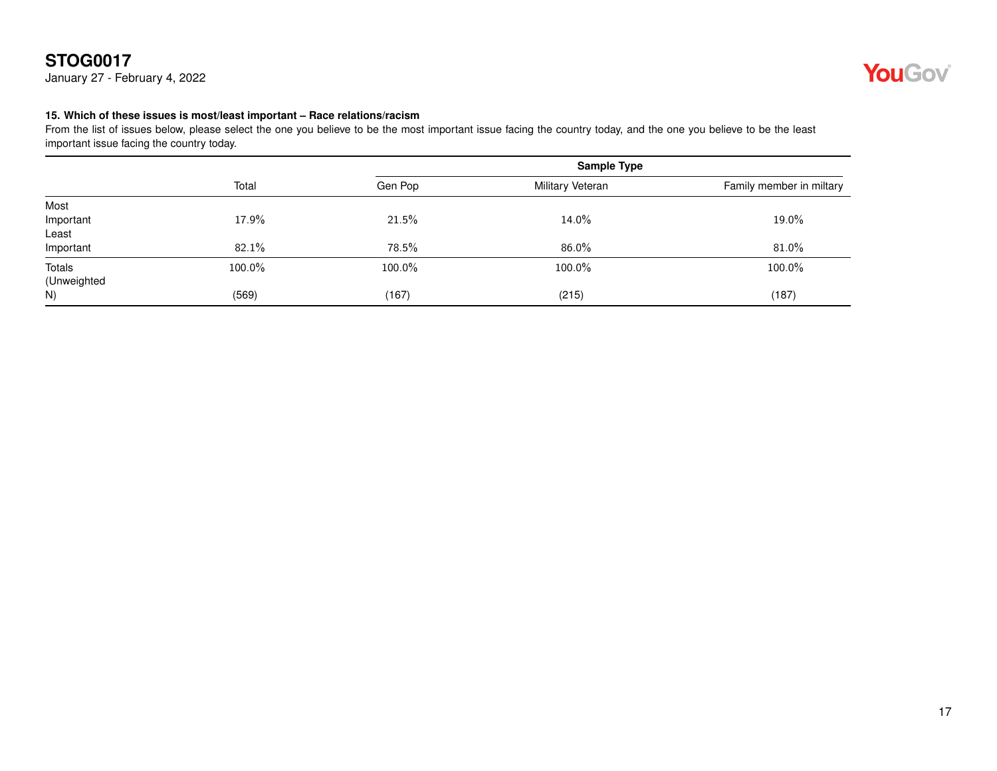January 27 - February 4, 2022



#### <span id="page-16-0"></span>**15. Which of these issues is most/least important – Race relations/racism**

|             | Total  | <b>Sample Type</b> |                  |                          |
|-------------|--------|--------------------|------------------|--------------------------|
|             |        | Gen Pop            | Military Veteran | Family member in miltary |
| Most        |        |                    |                  |                          |
| Important   | 17.9%  | 21.5%              | 14.0%            | 19.0%                    |
| Least       |        |                    |                  |                          |
| Important   | 82.1%  | 78.5%              | 86.0%            | 81.0%                    |
| Totals      | 100.0% | 100.0%             | 100.0%           | 100.0%                   |
| (Unweighted |        |                    |                  |                          |
| N)          | (569)  | (167)              | (215)            | (187)                    |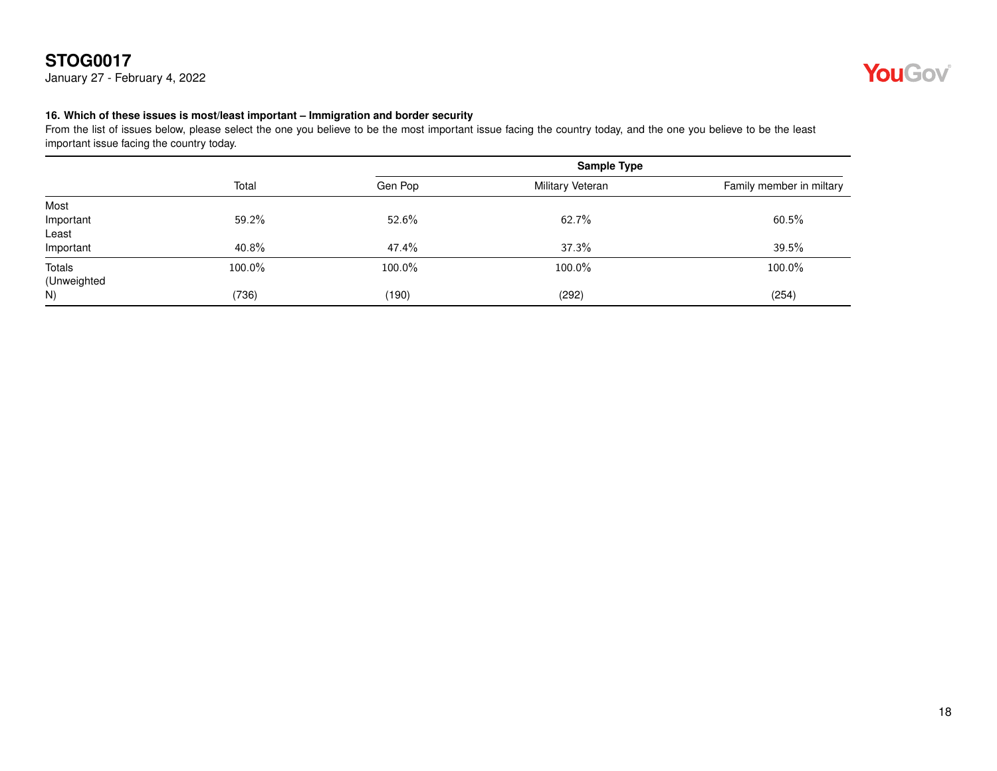January 27 - February 4, 2022



#### <span id="page-17-0"></span>**16. Which of these issues is most/least important – Immigration and border security**

|             | Total  | <b>Sample Type</b> |                  |                          |
|-------------|--------|--------------------|------------------|--------------------------|
|             |        | Gen Pop            | Military Veteran | Family member in miltary |
| Most        |        |                    |                  |                          |
| Important   | 59.2%  | 52.6%              | 62.7%            | 60.5%                    |
| Least       |        |                    |                  |                          |
| Important   | 40.8%  | 47.4%              | 37.3%            | 39.5%                    |
| Totals      | 100.0% | 100.0%             | 100.0%           | 100.0%                   |
| (Unweighted |        |                    |                  |                          |
| N)          | (736)  | (190)              | (292)            | (254)                    |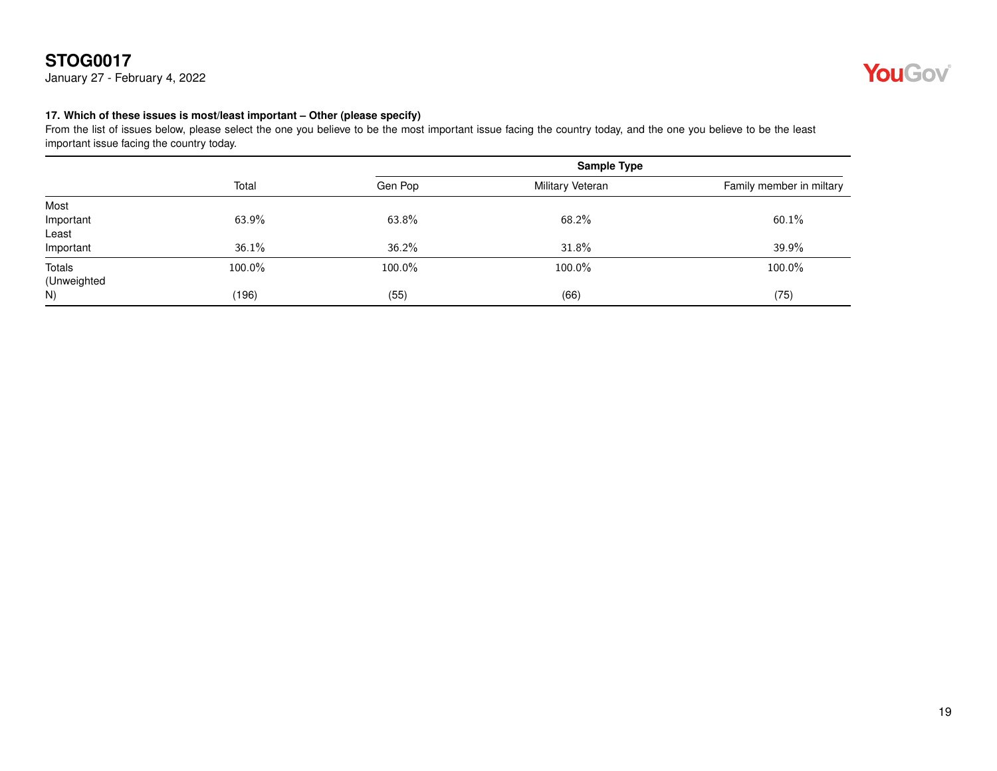January 27 - February 4, 2022



#### <span id="page-18-0"></span>**17. Which of these issues is most/least important – Other (please specify)**

|             | Total  | <b>Sample Type</b> |                  |                          |
|-------------|--------|--------------------|------------------|--------------------------|
|             |        | Gen Pop            | Military Veteran | Family member in miltary |
| Most        |        |                    |                  |                          |
| Important   | 63.9%  | 63.8%              | 68.2%            | 60.1%                    |
| Least       |        |                    |                  |                          |
| Important   | 36.1%  | 36.2%              | 31.8%            | 39.9%                    |
| Totals      | 100.0% | 100.0%             | 100.0%           | 100.0%                   |
| (Unweighted |        |                    |                  |                          |
| N)          | (196)  | (55)               | (66)             | (75)                     |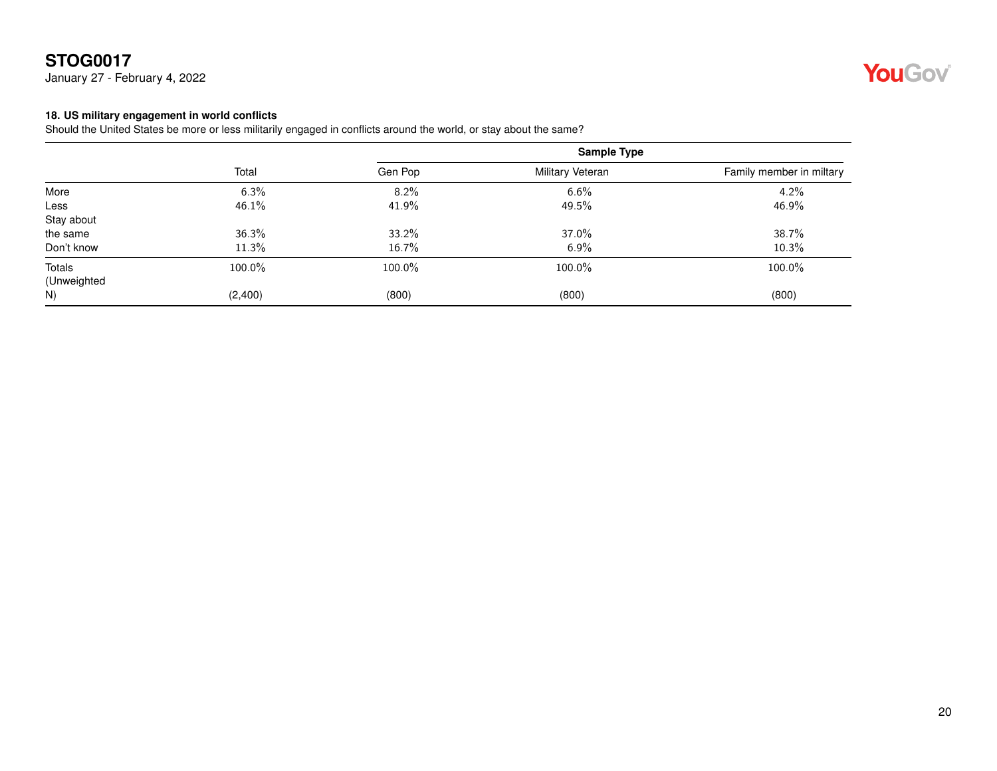January 27 - February 4, 2022



#### <span id="page-19-0"></span>**18. US military engagement in world conflicts**

Should the United States be more or less militarily engaged in conflicts around the world, or stay about the same?

|             |         |         | Sample Type      |                          |  |
|-------------|---------|---------|------------------|--------------------------|--|
|             | Total   | Gen Pop | Military Veteran | Family member in miltary |  |
| More        | 6.3%    | 8.2%    | 6.6%             | 4.2%                     |  |
| Less        | 46.1%   | 41.9%   | 49.5%            | 46.9%                    |  |
| Stay about  |         |         |                  |                          |  |
| the same    | 36.3%   | 33.2%   | 37.0%            | 38.7%                    |  |
| Don't know  | 11.3%   | 16.7%   | 6.9%             | 10.3%                    |  |
| Totals      | 100.0%  | 100.0%  | 100.0%           | 100.0%                   |  |
| (Unweighted |         |         |                  |                          |  |
| N)          | (2,400) | (800)   | (800)            | (800)                    |  |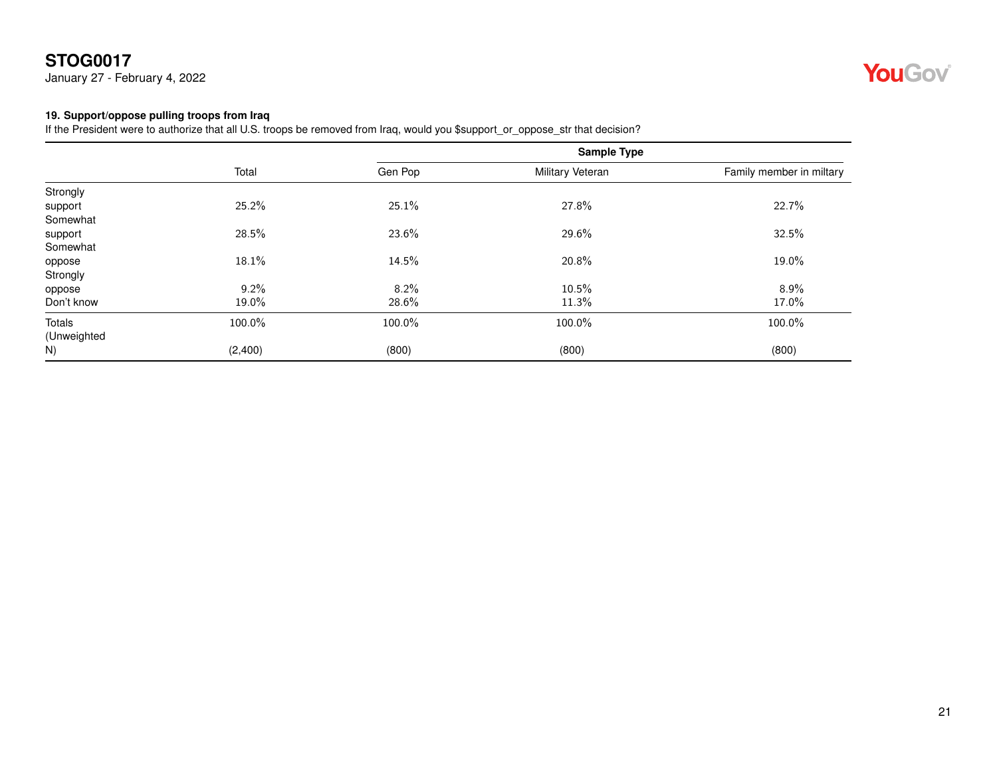January 27 - February 4, 2022



#### <span id="page-20-0"></span>**19. Support/oppose pulling troops from Iraq**

If the President were to authorize that all U.S. troops be removed from Iraq, would you \$support\_or\_oppose\_str that decision?

|             | Total   |         | <b>Sample Type</b> |                          |
|-------------|---------|---------|--------------------|--------------------------|
|             |         | Gen Pop | Military Veteran   | Family member in miltary |
| Strongly    |         |         |                    |                          |
| support     | 25.2%   | 25.1%   | 27.8%              | 22.7%                    |
| Somewhat    |         |         |                    |                          |
| support     | 28.5%   | 23.6%   | 29.6%              | 32.5%                    |
| Somewhat    |         |         |                    |                          |
| oppose      | 18.1%   | 14.5%   | 20.8%              | 19.0%                    |
| Strongly    |         |         |                    |                          |
| oppose      | 9.2%    | 8.2%    | 10.5%              | 8.9%                     |
| Don't know  | 19.0%   | 28.6%   | 11.3%              | 17.0%                    |
| Totals      | 100.0%  | 100.0%  | 100.0%             | 100.0%                   |
| (Unweighted |         |         |                    |                          |
| N)          | (2,400) | (800)   | (800)              | (800)                    |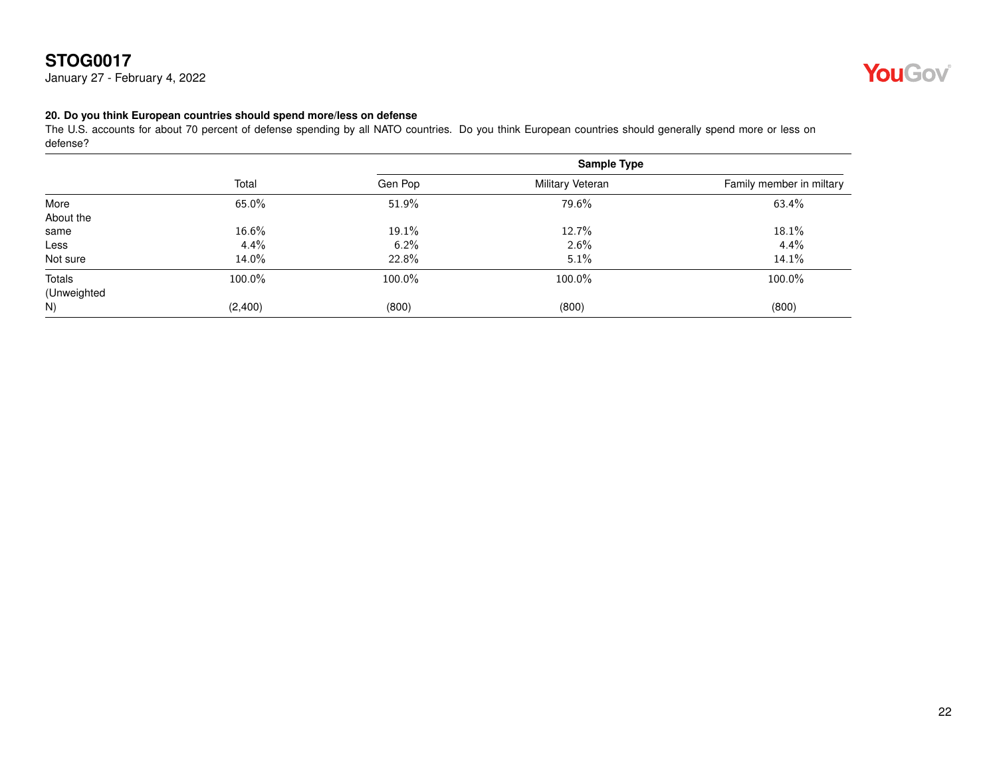January 27 - February 4, 2022



#### <span id="page-21-0"></span>**20. Do you think European countries should spend more/less on defense**

The U.S. accounts for about 70 percent of defense spending by all NATO countries. Do you think European countries should generally spend more or less on defense?

|             |         |         | Sample Type      |                          |
|-------------|---------|---------|------------------|--------------------------|
|             | Total   | Gen Pop | Military Veteran | Family member in miltary |
| More        | 65.0%   | 51.9%   | 79.6%            | 63.4%                    |
| About the   |         |         |                  |                          |
| same        | 16.6%   | 19.1%   | 12.7%            | 18.1%                    |
| Less        | $4.4\%$ | 6.2%    | 2.6%             | 4.4%                     |
| Not sure    | 14.0%   | 22.8%   | 5.1%             | 14.1%                    |
| Totals      | 100.0%  | 100.0%  | 100.0%           | 100.0%                   |
| (Unweighted |         |         |                  |                          |
| N)          | (2,400) | (800)   | (800)            | (800)                    |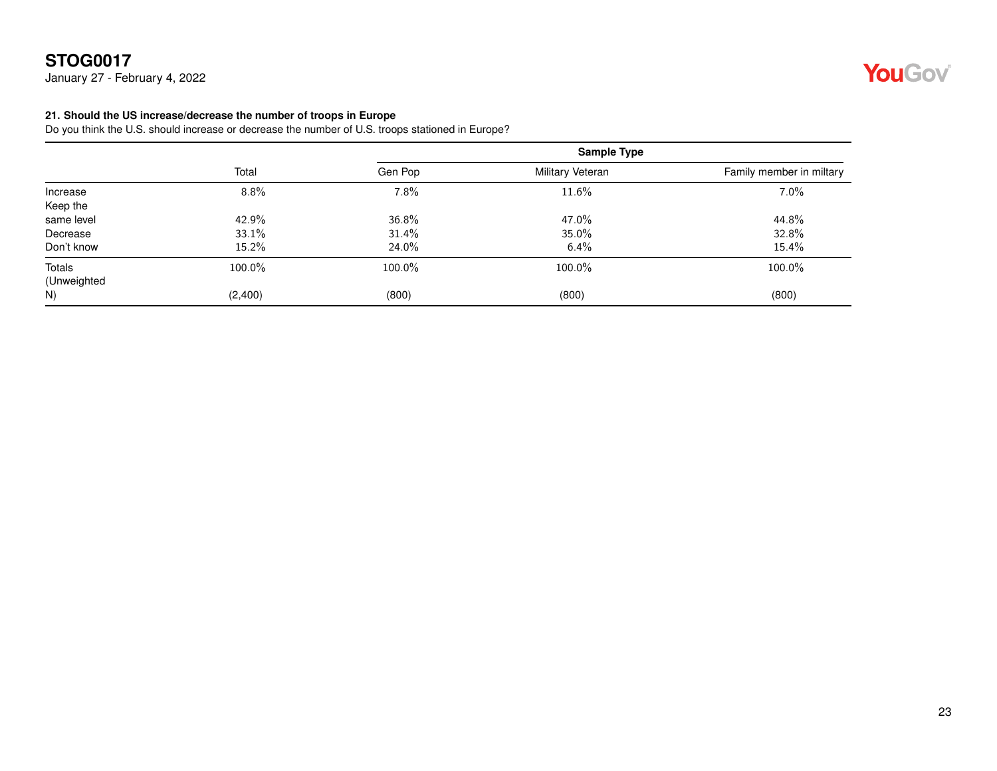January 27 - February 4, 2022

#### <span id="page-22-0"></span>**21. Should the US increase/decrease the number of troops in Europe**

Do you think the U.S. should increase or decrease the number of U.S. troops stationed in Europe?

|             | Total   | <b>Sample Type</b> |                  |                          |
|-------------|---------|--------------------|------------------|--------------------------|
|             |         | Gen Pop            | Military Veteran | Family member in miltary |
| Increase    | 8.8%    | 7.8%               | 11.6%            | 7.0%                     |
| Keep the    |         |                    |                  |                          |
| same level  | 42.9%   | 36.8%              | 47.0%            | 44.8%                    |
| Decrease    | 33.1%   | 31.4%              | 35.0%            | 32.8%                    |
| Don't know  | 15.2%   | 24.0%              | $6.4\%$          | $15.4\%$                 |
| Totals      | 100.0%  | 100.0%             | 100.0%           | 100.0%                   |
| (Unweighted |         |                    |                  |                          |
| N)          | (2,400) | (800)              | (800)            | (800)                    |

# YouGov®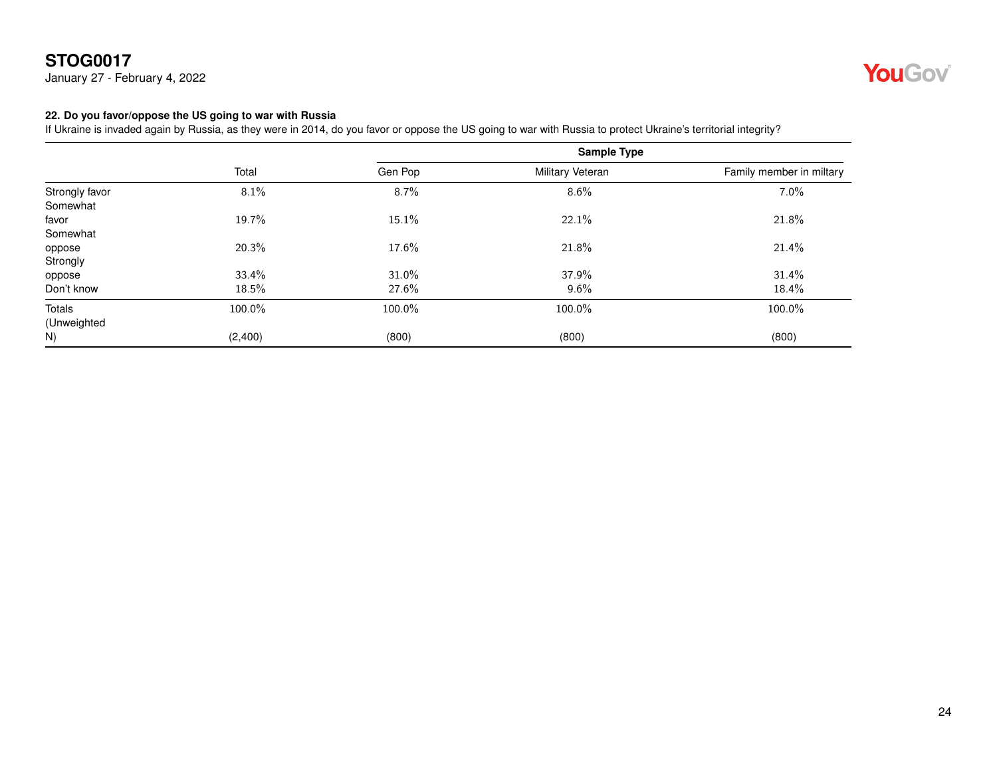January 27 - February 4, 2022



#### <span id="page-23-0"></span>**22. Do you favor/oppose the US going to war with Russia**

If Ukraine is invaded again by Russia, as they were in 2014, do you favor or oppose the US going to war with Russia to protect Ukraine's territorial integrity?

|                | Total   |         | Sample Type      |                          |  |
|----------------|---------|---------|------------------|--------------------------|--|
|                |         | Gen Pop | Military Veteran | Family member in miltary |  |
| Strongly favor | 8.1%    | 8.7%    | 8.6%             | $7.0\%$                  |  |
| Somewhat       |         |         |                  |                          |  |
| favor          | 19.7%   | 15.1%   | 22.1%            | 21.8%                    |  |
| Somewhat       |         |         |                  |                          |  |
| oppose         | 20.3%   | 17.6%   | 21.8%            | 21.4%                    |  |
| Strongly       |         |         |                  |                          |  |
| oppose         | 33.4%   | 31.0%   | 37.9%            | 31.4%                    |  |
| Don't know     | 18.5%   | 27.6%   | 9.6%             | 18.4%                    |  |
| Totals         | 100.0%  | 100.0%  | 100.0%           | 100.0%                   |  |
| (Unweighted    |         |         |                  |                          |  |
| N)             | (2,400) | (800)   | (800)            | (800)                    |  |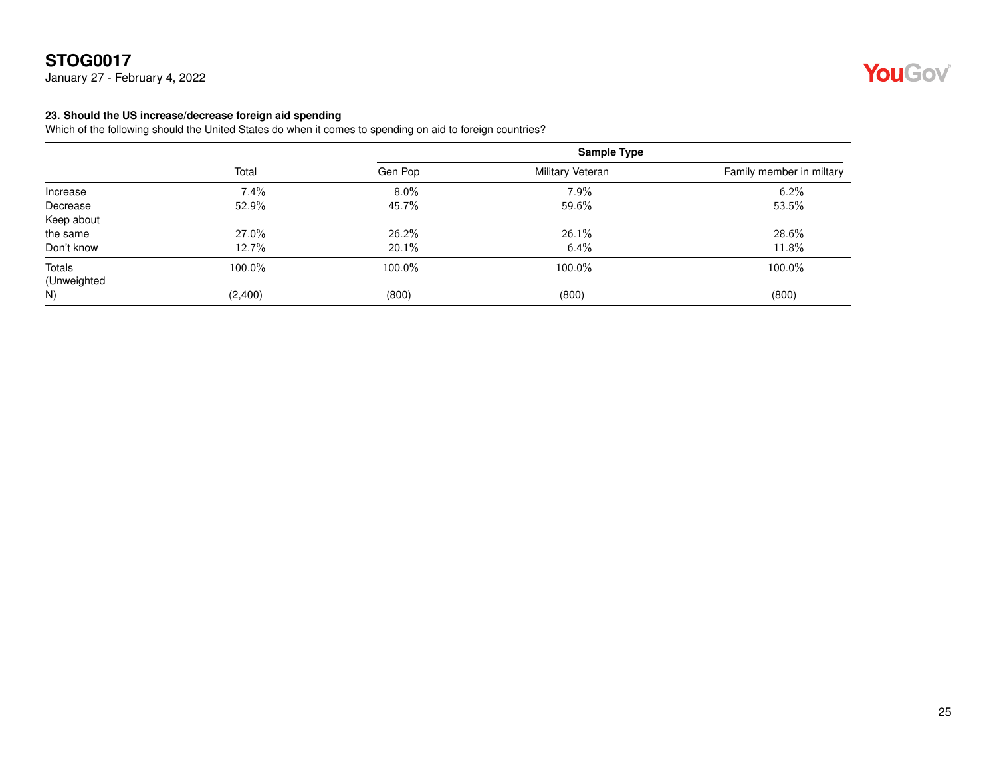January 27 - February 4, 2022

# YouGov®

#### <span id="page-24-0"></span>**23. Should the US increase/decrease foreign aid spending**

Which of the following should the United States do when it comes to spending on aid to foreign countries?

|             | Total   |         | Sample Type      |                          |  |
|-------------|---------|---------|------------------|--------------------------|--|
|             |         | Gen Pop | Military Veteran | Family member in miltary |  |
| Increase    | 7.4%    | $8.0\%$ | 7.9%             | 6.2%                     |  |
| Decrease    | 52.9%   | 45.7%   | 59.6%            | 53.5%                    |  |
| Keep about  |         |         |                  |                          |  |
| the same    | 27.0%   | 26.2%   | 26.1%            | 28.6%                    |  |
| Don't know  | 12.7%   | 20.1%   | 6.4%             | 11.8%                    |  |
| Totals      | 100.0%  | 100.0%  | 100.0%           | 100.0%                   |  |
| (Unweighted |         |         |                  |                          |  |
| N)          | (2,400) | (800)   | (800)            | (800)                    |  |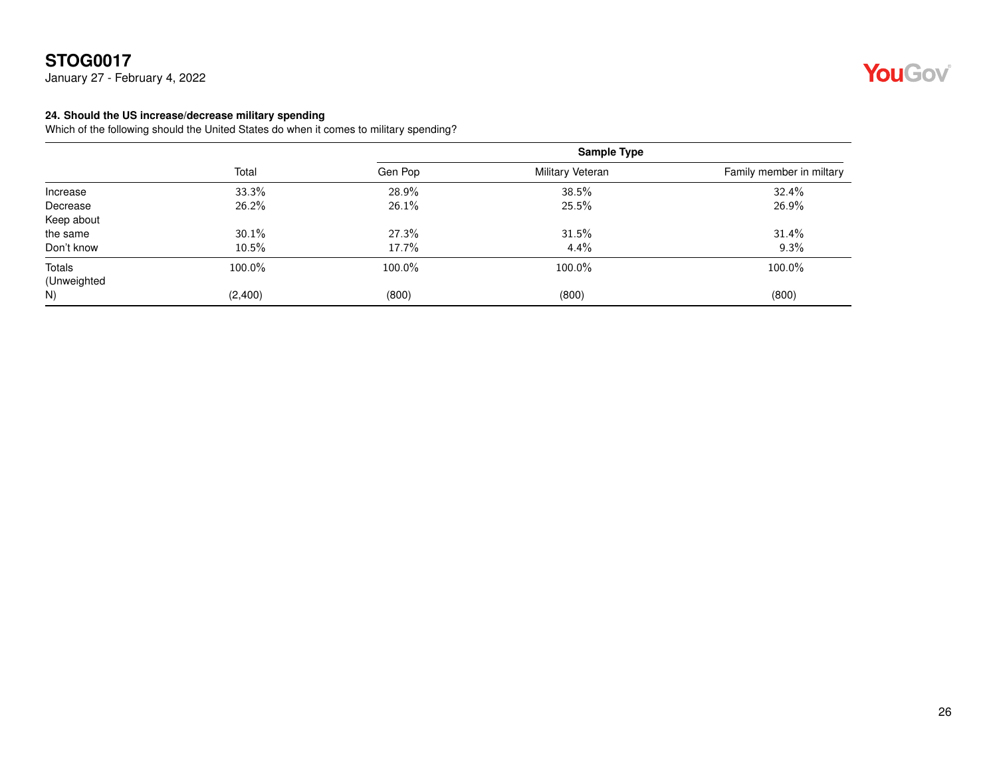January 27 - February 4, 2022



#### <span id="page-25-0"></span>**24. Should the US increase/decrease military spending**

Which of the following should the United States do when it comes to military spending?

|             | Total   | <b>Sample Type</b> |                  |                          |
|-------------|---------|--------------------|------------------|--------------------------|
|             |         | Gen Pop            | Military Veteran | Family member in miltary |
| Increase    | 33.3%   | 28.9%              | 38.5%            | 32.4%                    |
| Decrease    | 26.2%   | 26.1%              | 25.5%            | 26.9%                    |
| Keep about  |         |                    |                  |                          |
| the same    | 30.1%   | 27.3%              | 31.5%            | 31.4%                    |
| Don't know  | 10.5%   | 17.7%              | 4.4%             | 9.3%                     |
| Totals      | 100.0%  | 100.0%             | 100.0%           | 100.0%                   |
| (Unweighted |         |                    |                  |                          |
| N)          | (2,400) | (800)              | (800)            | (800)                    |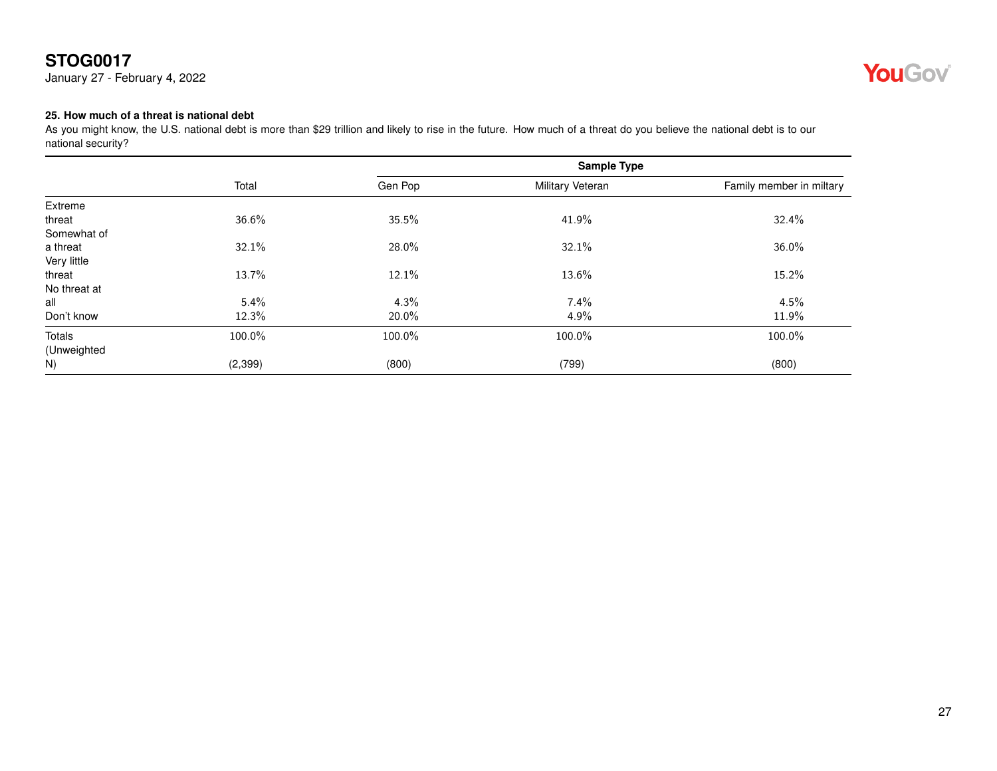January 27 - February 4, 2022



#### <span id="page-26-0"></span>**25. How much of a threat is national debt**

As you might know, the U.S. national debt is more than \$29 trillion and likely to rise in the future. How much of a threat do you believe the national debt is to our national security?

|              | Total    |         | Sample Type      |                          |
|--------------|----------|---------|------------------|--------------------------|
|              |          | Gen Pop | Military Veteran | Family member in miltary |
| Extreme      |          |         |                  |                          |
| threat       | 36.6%    | 35.5%   | 41.9%            | 32.4%                    |
| Somewhat of  |          |         |                  |                          |
| a threat     | 32.1%    | 28.0%   | 32.1%            | 36.0%                    |
| Very little  |          |         |                  |                          |
| threat       | 13.7%    | 12.1%   | 13.6%            | 15.2%                    |
| No threat at |          |         |                  |                          |
| all          | $5.4\%$  | 4.3%    | 7.4%             | 4.5%                     |
| Don't know   | 12.3%    | 20.0%   | 4.9%             | 11.9%                    |
| Totals       | 100.0%   | 100.0%  | 100.0%           | 100.0%                   |
| (Unweighted  |          |         |                  |                          |
| N)           | (2, 399) | (800)   | (799)            | (800)                    |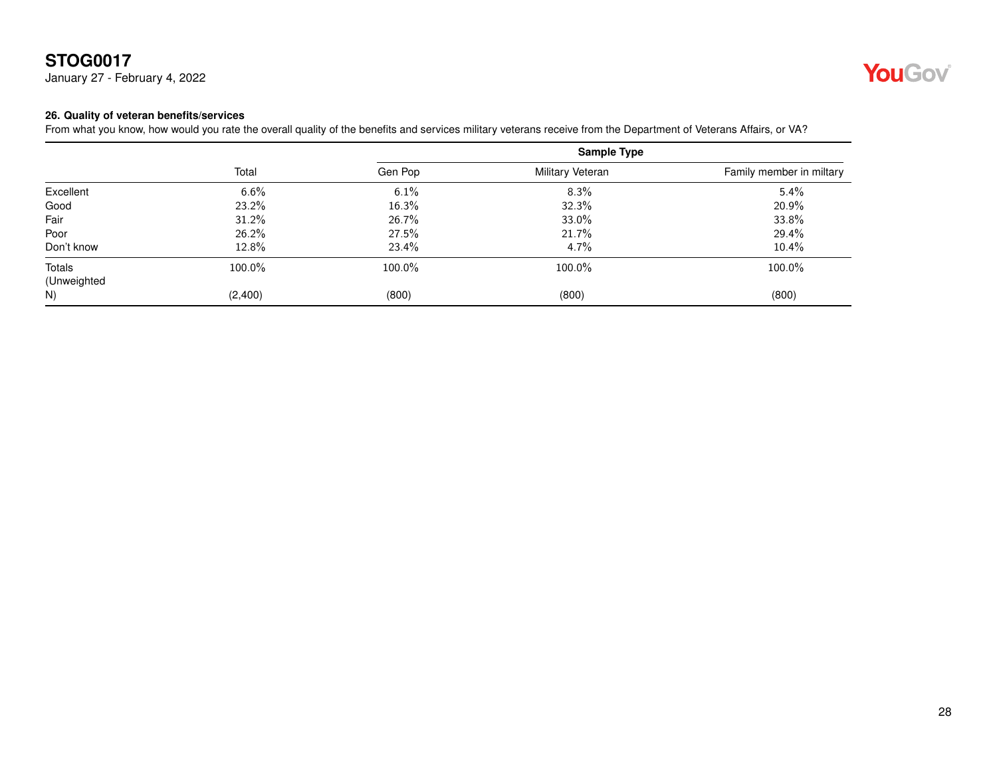January 27 - February 4, 2022



#### <span id="page-27-0"></span>**26. Quality of veteran benefits/services**

From what you know, how would you rate the overall quality of the benefits and services military veterans receive from the Department of Veterans Affairs, or VA?

|             | Total   | <b>Sample Type</b> |                  |                          |
|-------------|---------|--------------------|------------------|--------------------------|
|             |         | Gen Pop            | Military Veteran | Family member in miltary |
| Excellent   | 6.6%    | 6.1%               | 8.3%             | 5.4%                     |
| Good        | 23.2%   | 16.3%              | 32.3%            | 20.9%                    |
| Fair        | 31.2%   | 26.7%              | 33.0%            | 33.8%                    |
| Poor        | 26.2%   | 27.5%              | 21.7%            | 29.4%                    |
| Don't know  | 12.8%   | 23.4%              | 4.7%             | 10.4%                    |
| Totals      | 100.0%  | 100.0%             | 100.0%           | 100.0%                   |
| (Unweighted |         |                    |                  |                          |
| N)          | (2,400) | (800)              | (800)            | (800)                    |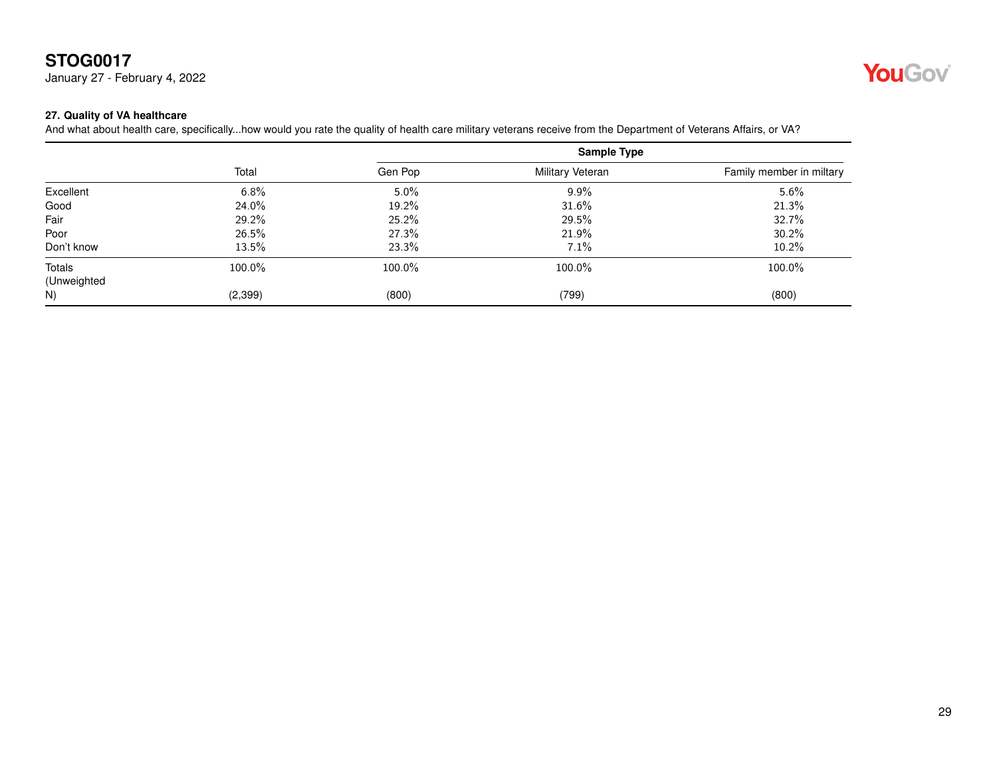January 27 - February 4, 2022



#### <span id="page-28-0"></span>**27. Quality of VA healthcare**

And what about health care, specifically...how would you rate the quality of health care military veterans receive from the Department of Veterans Affairs, or VA?

|                       | Total   | Sample Type |                  |                          |
|-----------------------|---------|-------------|------------------|--------------------------|
|                       |         | Gen Pop     | Military Veteran | Family member in miltary |
| Excellent             | 6.8%    | $5.0\%$     | $9.9\%$          | 5.6%                     |
| Good                  | 24.0%   | 19.2%       | 31.6%            | 21.3%                    |
| Fair                  | 29.2%   | 25.2%       | 29.5%            | 32.7%                    |
| Poor                  | 26.5%   | 27.3%       | 21.9%            | 30.2%                    |
| Don't know            | 13.5%   | 23.3%       | 7.1%             | 10.2%                    |
| Totals<br>(Unweighted | 100.0%  | 100.0%      | 100.0%           | 100.0%                   |
| N)                    | (2,399) | (800)       | (799)            | (800)                    |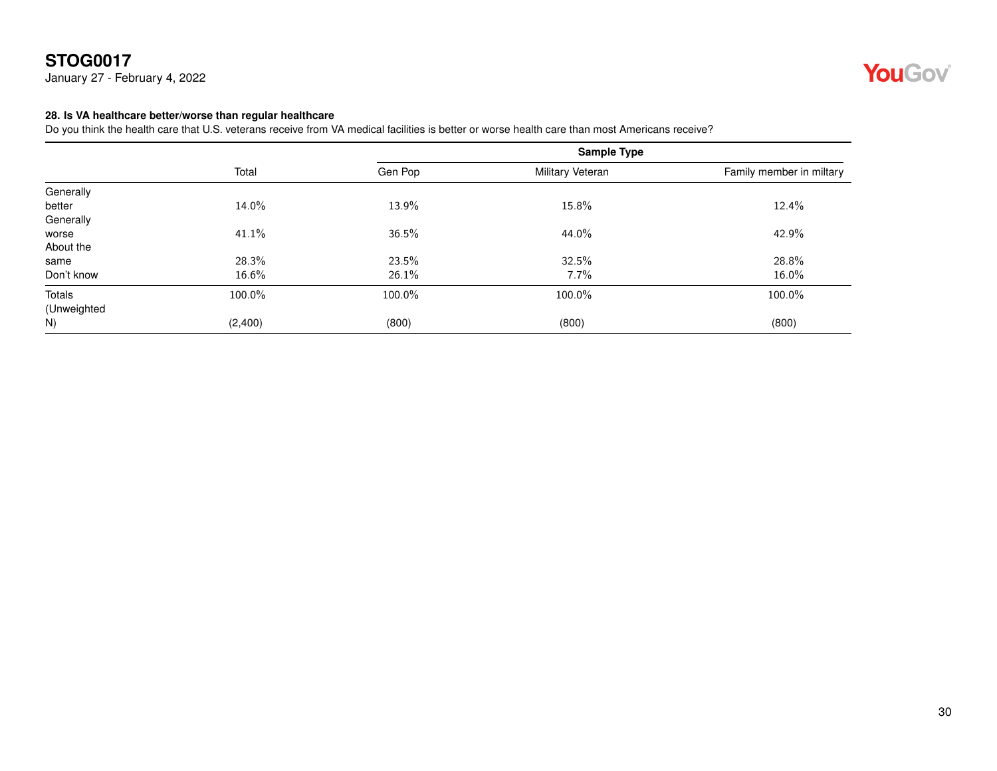January 27 - February 4, 2022



#### <span id="page-29-0"></span>**28. Is VA healthcare better/worse than regular healthcare**

Do you think the health care that U.S. veterans receive from VA medical facilities is better or worse health care than most Americans receive?

|             |         |         | <b>Sample Type</b> |                          |
|-------------|---------|---------|--------------------|--------------------------|
|             | Total   | Gen Pop | Military Veteran   | Family member in miltary |
| Generally   |         |         |                    |                          |
| better      | 14.0%   | 13.9%   | 15.8%              | 12.4%                    |
| Generally   |         |         |                    |                          |
| worse       | 41.1%   | 36.5%   | 44.0%              | 42.9%                    |
| About the   |         |         |                    |                          |
| same        | 28.3%   | 23.5%   | 32.5%              | 28.8%                    |
| Don't know  | 16.6%   | 26.1%   | 7.7%               | 16.0%                    |
| Totals      | 100.0%  | 100.0%  | 100.0%             | 100.0%                   |
| (Unweighted |         |         |                    |                          |
| N)          | (2,400) | (800)   | (800)              | (800)                    |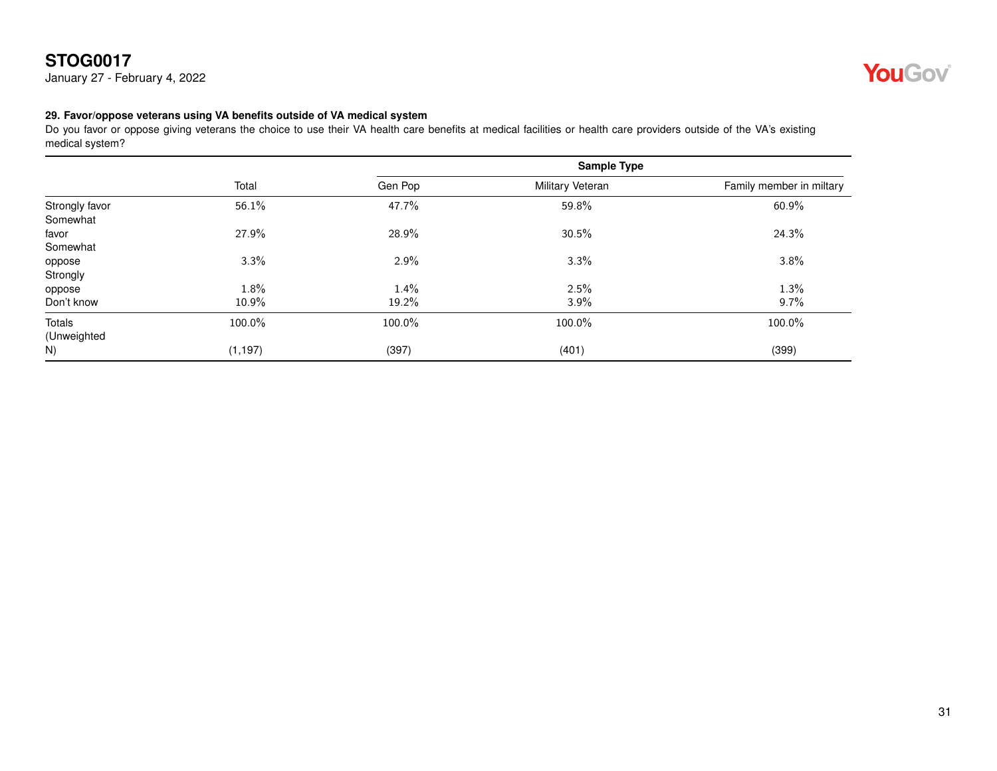January 27 - February 4, 2022



#### <span id="page-30-0"></span>**29. Favor/oppose veterans using VA benefits outside of VA medical system**

Do you favor or oppose giving veterans the choice to use their VA health care benefits at medical facilities or health care providers outside of the VA's existing medical system?

|                | Total    | Sample Type |                  |                          |
|----------------|----------|-------------|------------------|--------------------------|
|                |          | Gen Pop     | Military Veteran | Family member in miltary |
| Strongly favor | 56.1%    | 47.7%       | 59.8%            | 60.9%                    |
| Somewhat       |          |             |                  |                          |
| favor          | 27.9%    | 28.9%       | 30.5%            | 24.3%                    |
| Somewhat       |          |             |                  |                          |
| oppose         | 3.3%     | 2.9%        | 3.3%             | 3.8%                     |
| Strongly       |          |             |                  |                          |
| oppose         | 1.8%     | 1.4%        | 2.5%             | 1.3%                     |
| Don't know     | 10.9%    | 19.2%       | 3.9%             | 9.7%                     |
| Totals         | 100.0%   | 100.0%      | 100.0%           | 100.0%                   |
| (Unweighted    |          |             |                  |                          |
| N)             | (1, 197) | (397)       | (401)            | (399)                    |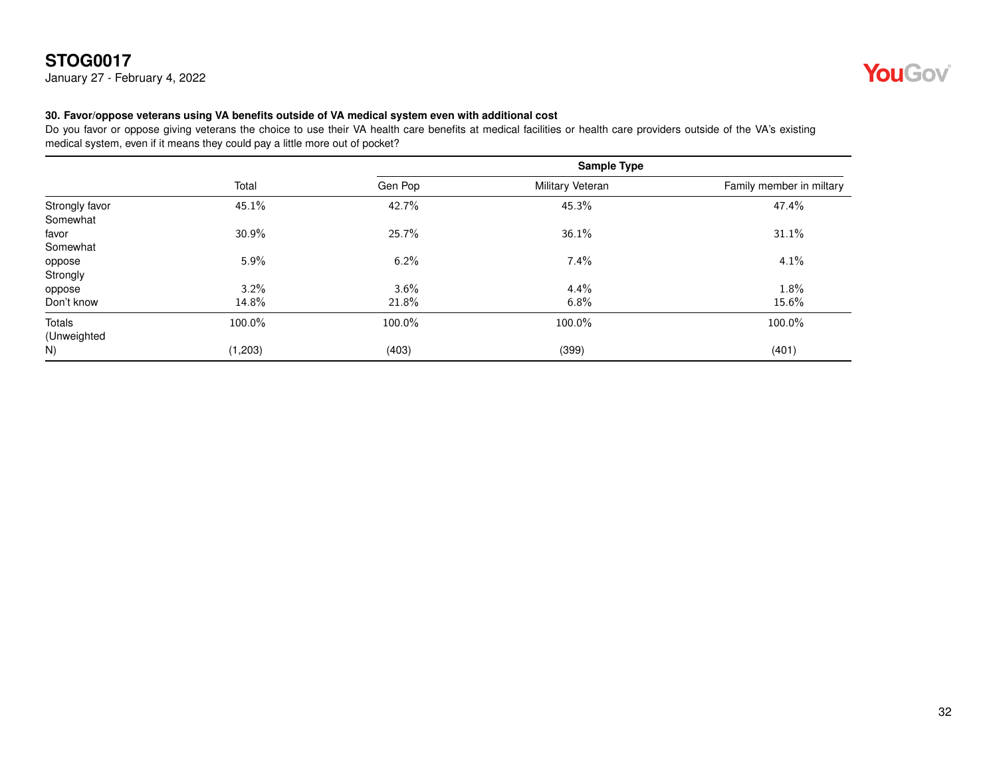January 27 - February 4, 2022



#### <span id="page-31-0"></span>**30. Favor/oppose veterans using VA benefits outside of VA medical system even with additional cost**

Do you favor or oppose giving veterans the choice to use their VA health care benefits at medical facilities or health care providers outside of the VA's existing medical system, even if it means they could pay a little more out of pocket?

|                | Total   | Sample Type |                  |                          |
|----------------|---------|-------------|------------------|--------------------------|
|                |         | Gen Pop     | Military Veteran | Family member in miltary |
| Strongly favor | 45.1%   | 42.7%       | 45.3%            | 47.4%                    |
| Somewhat       |         |             |                  |                          |
| favor          | 30.9%   | 25.7%       | 36.1%            | 31.1%                    |
| Somewhat       |         |             |                  |                          |
| oppose         | 5.9%    | 6.2%        | 7.4%             | 4.1%                     |
| Strongly       |         |             |                  |                          |
| oppose         | 3.2%    | $3.6\%$     | 4.4%             | 1.8%                     |
| Don't know     | 14.8%   | 21.8%       | 6.8%             | 15.6%                    |
| Totals         | 100.0%  | 100.0%      | 100.0%           | 100.0%                   |
| (Unweighted    |         |             |                  |                          |
| N)             | (1,203) | (403)       | (399)            | (401)                    |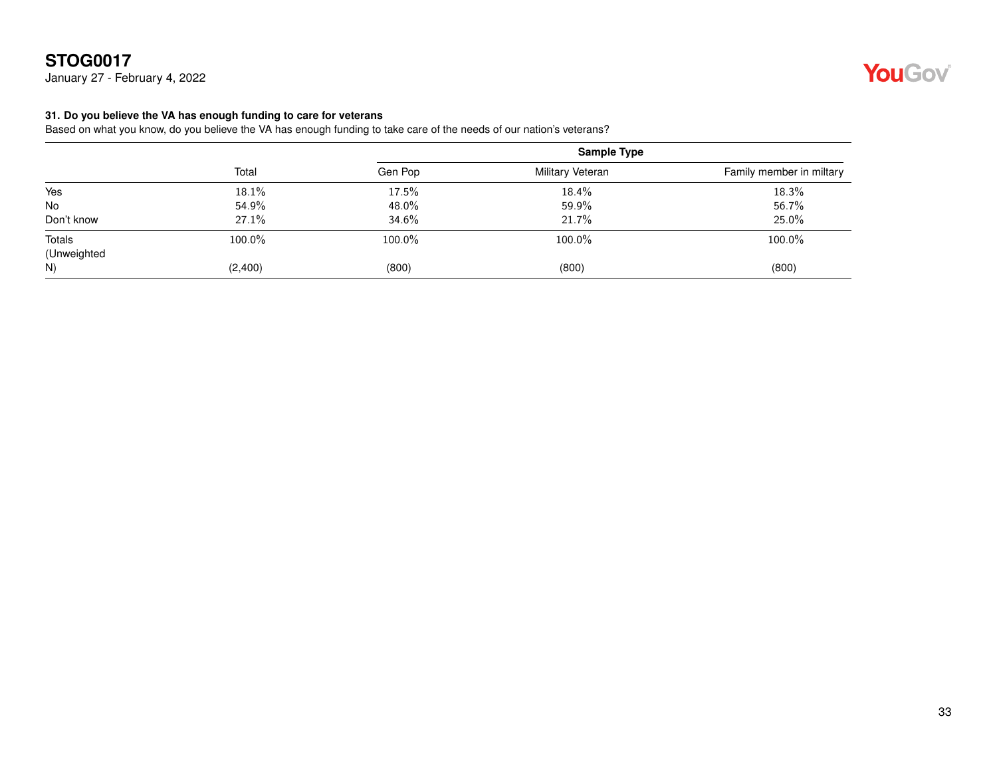January 27 - February 4, 2022

#### <span id="page-32-0"></span>**31. Do you believe the VA has enough funding to care for veterans**

Based on what you know, do you believe the VA has enough funding to take care of the needs of our nation's veterans?

|             | Total   |         | <b>Sample Type</b> |                          |  |
|-------------|---------|---------|--------------------|--------------------------|--|
|             |         | Gen Pop | Military Veteran   | Family member in miltary |  |
| Yes         | 18.1%   | 17.5%   | 18.4%              | 18.3%                    |  |
| No          | 54.9%   | 48.0%   | 59.9%              | 56.7%                    |  |
| Don't know  | 27.1%   | 34.6%   | 21.7%              | 25.0%                    |  |
| Totals      | 100.0%  | 100.0%  | 100.0%             | 100.0%                   |  |
| (Unweighted |         |         |                    |                          |  |
| N)          | (2,400) | (800)   | (800)              | (800)                    |  |

# YouGov®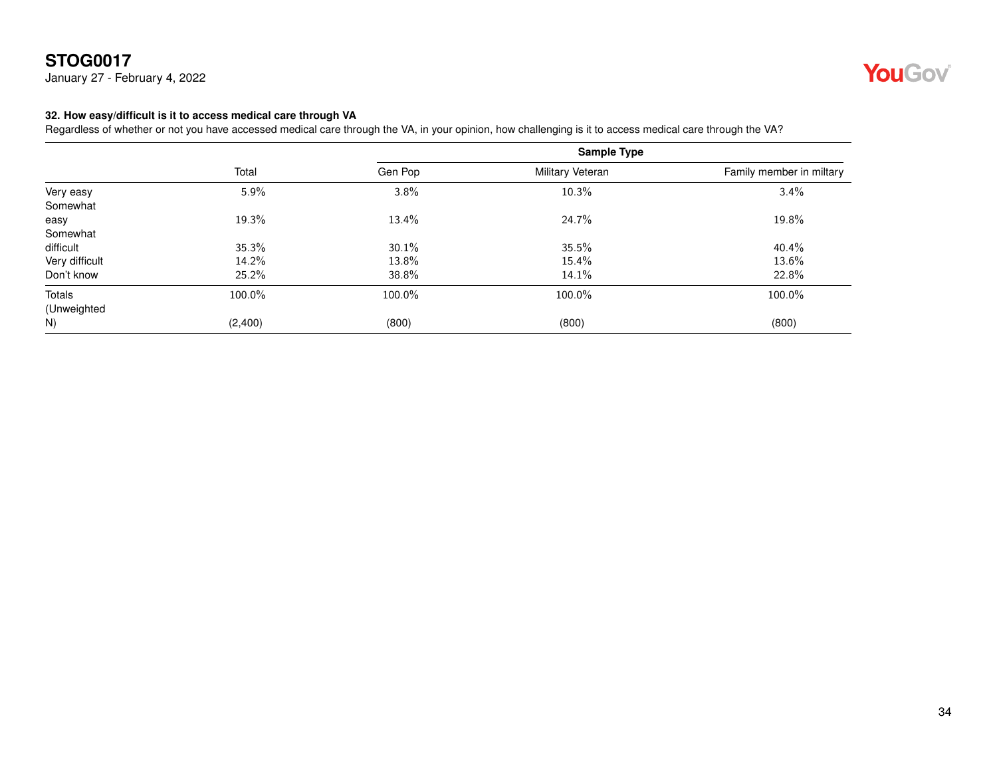January 27 - February 4, 2022



#### <span id="page-33-0"></span>**32. How easy/difficult is it to access medical care through VA**

Regardless of whether or not you have accessed medical care through the VA, in your opinion, how challenging is it to access medical care through the VA?

|                | Total   |         | Sample Type      |                          |
|----------------|---------|---------|------------------|--------------------------|
|                |         | Gen Pop | Military Veteran | Family member in miltary |
| Very easy      | 5.9%    | 3.8%    | 10.3%            | 3.4%                     |
| Somewhat       |         |         |                  |                          |
| easy           | 19.3%   | 13.4%   | 24.7%            | 19.8%                    |
| Somewhat       |         |         |                  |                          |
| difficult      | 35.3%   | 30.1%   | 35.5%            | 40.4%                    |
| Very difficult | 14.2%   | 13.8%   | 15.4%            | 13.6%                    |
| Don't know     | 25.2%   | 38.8%   | 14.1%            | 22.8%                    |
| Totals         | 100.0%  | 100.0%  | 100.0%           | 100.0%                   |
| (Unweighted    |         |         |                  |                          |
| N)             | (2,400) | (800)   | (800)            | (800)                    |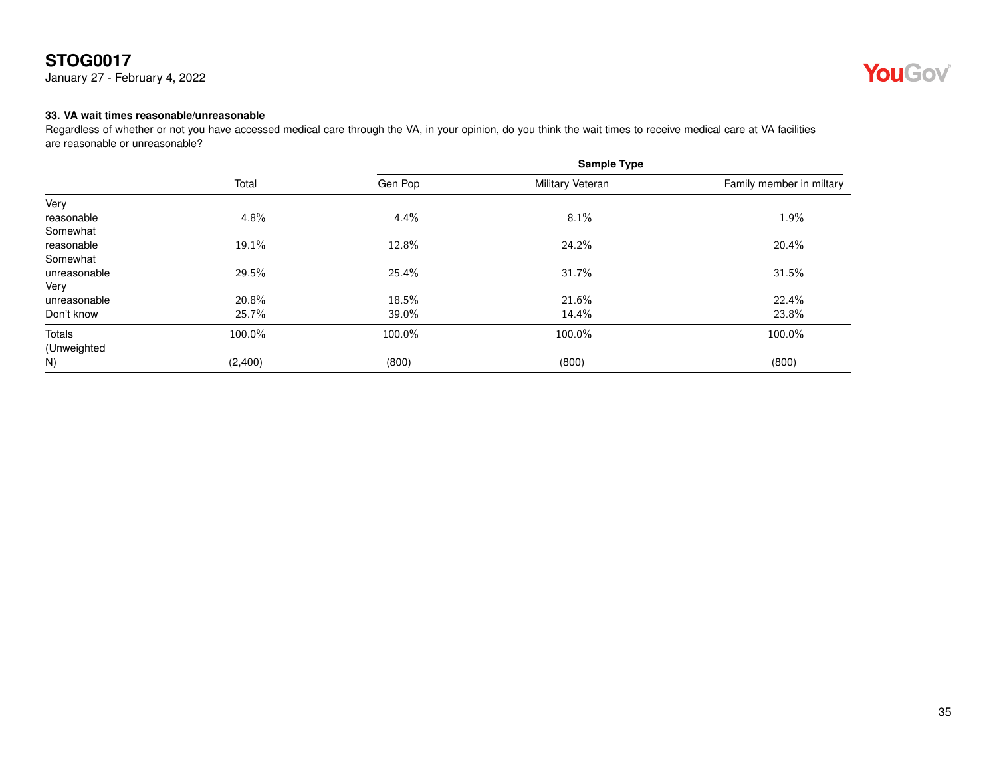January 27 - February 4, 2022



#### <span id="page-34-0"></span>**33. VA wait times reasonable/unreasonable**

Regardless of whether or not you have accessed medical care through the VA, in your opinion, do you think the wait times to receive medical care at VA facilities are reasonable or unreasonable?

|              | Total   |         | <b>Sample Type</b> |                          |
|--------------|---------|---------|--------------------|--------------------------|
|              |         | Gen Pop | Military Veteran   | Family member in miltary |
| Very         |         |         |                    |                          |
| reasonable   | 4.8%    | 4.4%    | 8.1%               | 1.9%                     |
| Somewhat     |         |         |                    |                          |
| reasonable   | 19.1%   | 12.8%   | 24.2%              | 20.4%                    |
| Somewhat     |         |         |                    |                          |
| unreasonable | 29.5%   | 25.4%   | 31.7%              | 31.5%                    |
| Very         |         |         |                    |                          |
| unreasonable | 20.8%   | 18.5%   | 21.6%              | 22.4%                    |
| Don't know   | 25.7%   | 39.0%   | 14.4%              | 23.8%                    |
| Totals       | 100.0%  | 100.0%  | 100.0%             | 100.0%                   |
| (Unweighted  |         |         |                    |                          |
| N)           | (2,400) | (800)   | (800)              | (800)                    |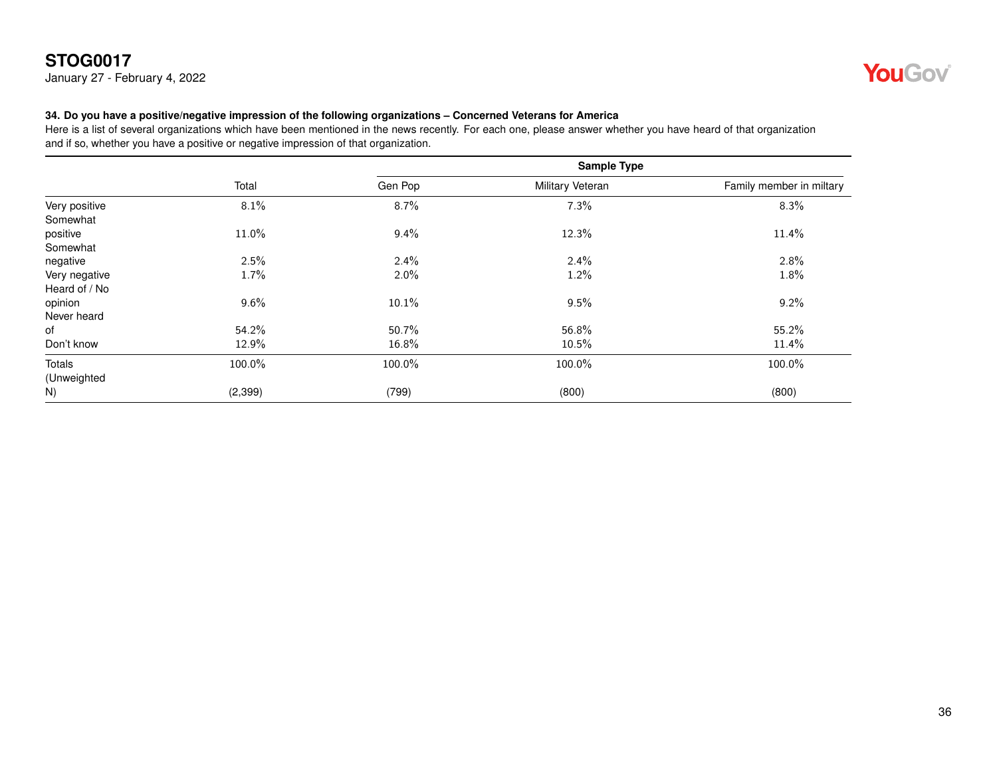January 27 - February 4, 2022



#### <span id="page-35-0"></span>**34. Do you have a positive/negative impression of the following organizations – Concerned Veterans for America**

|                                |          | <b>Sample Type</b> |                  |                          |
|--------------------------------|----------|--------------------|------------------|--------------------------|
|                                | Total    | Gen Pop            | Military Veteran | Family member in miltary |
| Very positive<br>Somewhat      | 8.1%     | 8.7%               | 7.3%             | 8.3%                     |
| positive<br>Somewhat           | 11.0%    | 9.4%               | 12.3%            | 11.4%                    |
| negative                       | 2.5%     | 2.4%               | $2.4\%$          | 2.8%                     |
| Very negative<br>Heard of / No | 1.7%     | $2.0\%$            | 1.2%             | 1.8%                     |
| opinion<br>Never heard         | $9.6\%$  | 10.1%              | 9.5%             | 9.2%                     |
| of                             | 54.2%    | 50.7%              | 56.8%            | 55.2%                    |
| Don't know                     | 12.9%    | 16.8%              | 10.5%            | 11.4%                    |
| Totals<br>(Unweighted          | 100.0%   | 100.0%             | 100.0%           | 100.0%                   |
| N)                             | (2, 399) | (799)              | (800)            | (800)                    |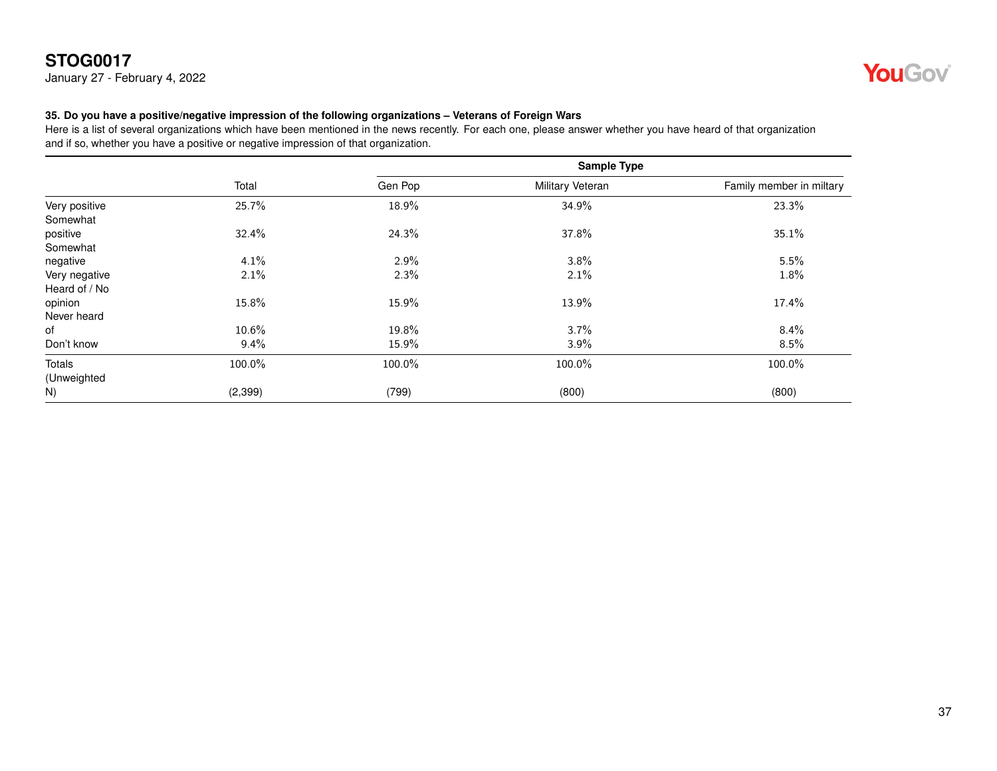January 27 - February 4, 2022



#### <span id="page-36-0"></span>**35. Do you have a positive/negative impression of the following organizations – Veterans of Foreign Wars**

|                                |          | <b>Sample Type</b> |                  |                          |
|--------------------------------|----------|--------------------|------------------|--------------------------|
|                                | Total    | Gen Pop            | Military Veteran | Family member in miltary |
| Very positive<br>Somewhat      | 25.7%    | 18.9%              | 34.9%            | 23.3%                    |
| positive<br>Somewhat           | 32.4%    | 24.3%              | 37.8%            | 35.1%                    |
| negative                       | 4.1%     | 2.9%               | 3.8%             | 5.5%                     |
| Very negative<br>Heard of / No | 2.1%     | 2.3%               | 2.1%             | 1.8%                     |
| opinion<br>Never heard         | 15.8%    | 15.9%              | 13.9%            | 17.4%                    |
| of                             | 10.6%    | 19.8%              | 3.7%             | $8.4\%$                  |
| Don't know                     | $9.4\%$  | 15.9%              | 3.9%             | 8.5%                     |
| Totals<br>(Unweighted          | 100.0%   | 100.0%             | 100.0%           | 100.0%                   |
| N)                             | (2, 399) | (799)              | (800)            | (800)                    |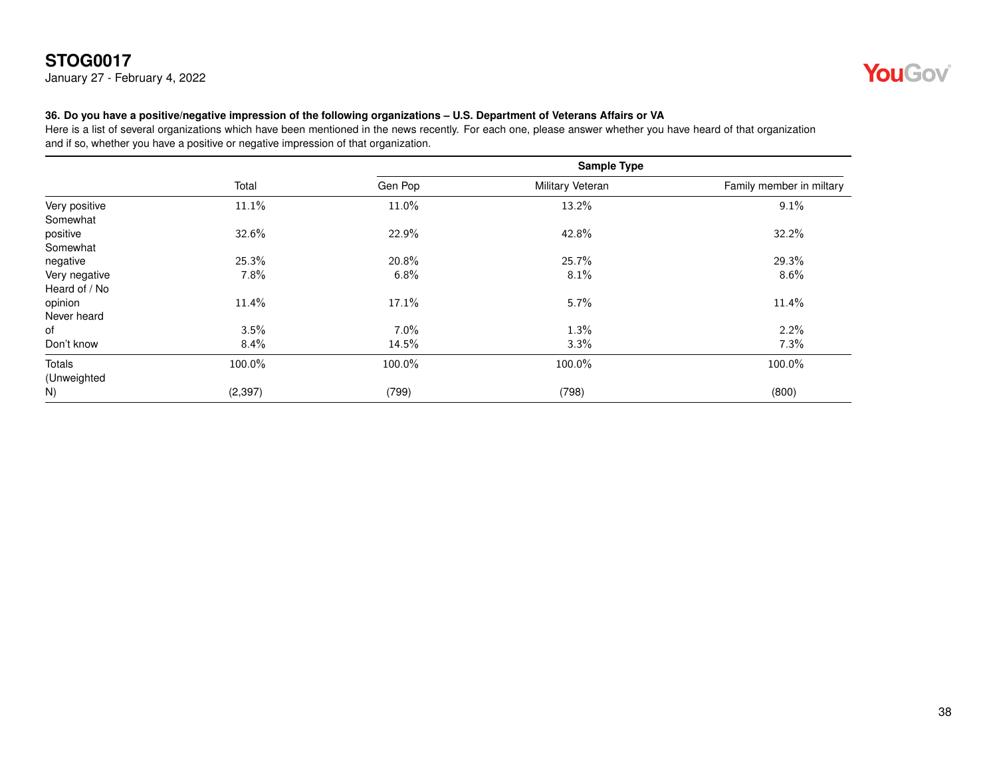January 27 - February 4, 2022



#### <span id="page-37-0"></span>**36. Do you have a positive/negative impression of the following organizations – U.S. Department of Veterans Affairs or VA**

|                                |          | <b>Sample Type</b> |                  |                          |
|--------------------------------|----------|--------------------|------------------|--------------------------|
|                                | Total    | Gen Pop            | Military Veteran | Family member in miltary |
| Very positive<br>Somewhat      | 11.1%    | 11.0%              | 13.2%            | 9.1%                     |
| positive<br>Somewhat           | 32.6%    | 22.9%              | 42.8%            | 32.2%                    |
| negative                       | 25.3%    | 20.8%              | 25.7%            | 29.3%                    |
| Very negative<br>Heard of / No | 7.8%     | 6.8%               | 8.1%             | 8.6%                     |
| opinion<br>Never heard         | 11.4%    | 17.1%              | 5.7%             | 11.4%                    |
| of                             | 3.5%     | $7.0\%$            | 1.3%             | 2.2%                     |
| Don't know                     | 8.4%     | 14.5%              | 3.3%             | 7.3%                     |
| Totals<br>(Unweighted          | 100.0%   | 100.0%             | 100.0%           | 100.0%                   |
| N)                             | (2, 397) | (799)              | (798)            | (800)                    |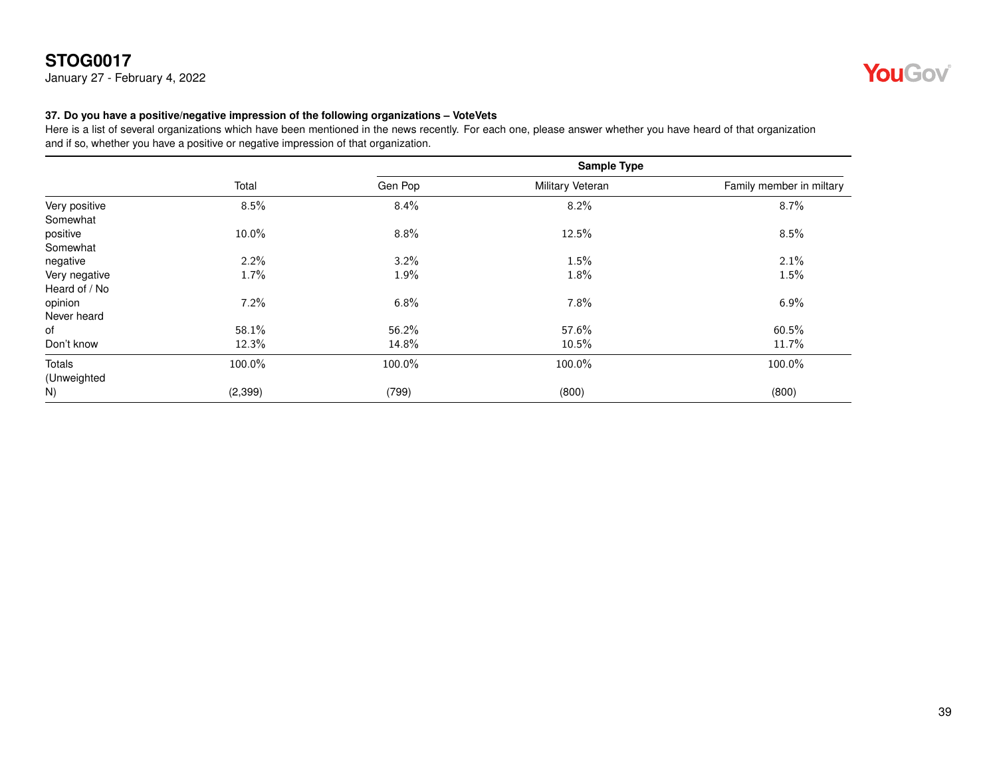January 27 - February 4, 2022



#### <span id="page-38-0"></span>**37. Do you have a positive/negative impression of the following organizations – VoteVets**

|                                |          |         | <b>Sample Type</b> |                          |
|--------------------------------|----------|---------|--------------------|--------------------------|
|                                | Total    | Gen Pop | Military Veteran   | Family member in miltary |
| Very positive<br>Somewhat      | 8.5%     | 8.4%    | 8.2%               | $8.7\%$                  |
| positive<br>Somewhat           | 10.0%    | 8.8%    | 12.5%              | 8.5%                     |
| negative                       | 2.2%     | 3.2%    | 1.5%               | 2.1%                     |
| Very negative<br>Heard of / No | 1.7%     | 1.9%    | 1.8%               | 1.5%                     |
| opinion<br>Never heard         | 7.2%     | 6.8%    | 7.8%               | $6.9\%$                  |
| of                             | 58.1%    | 56.2%   | 57.6%              | 60.5%                    |
| Don't know                     | 12.3%    | 14.8%   | 10.5%              | 11.7%                    |
| Totals<br>(Unweighted          | 100.0%   | 100.0%  | 100.0%             | 100.0%                   |
| N)                             | (2, 399) | (799)   | (800)              | (800)                    |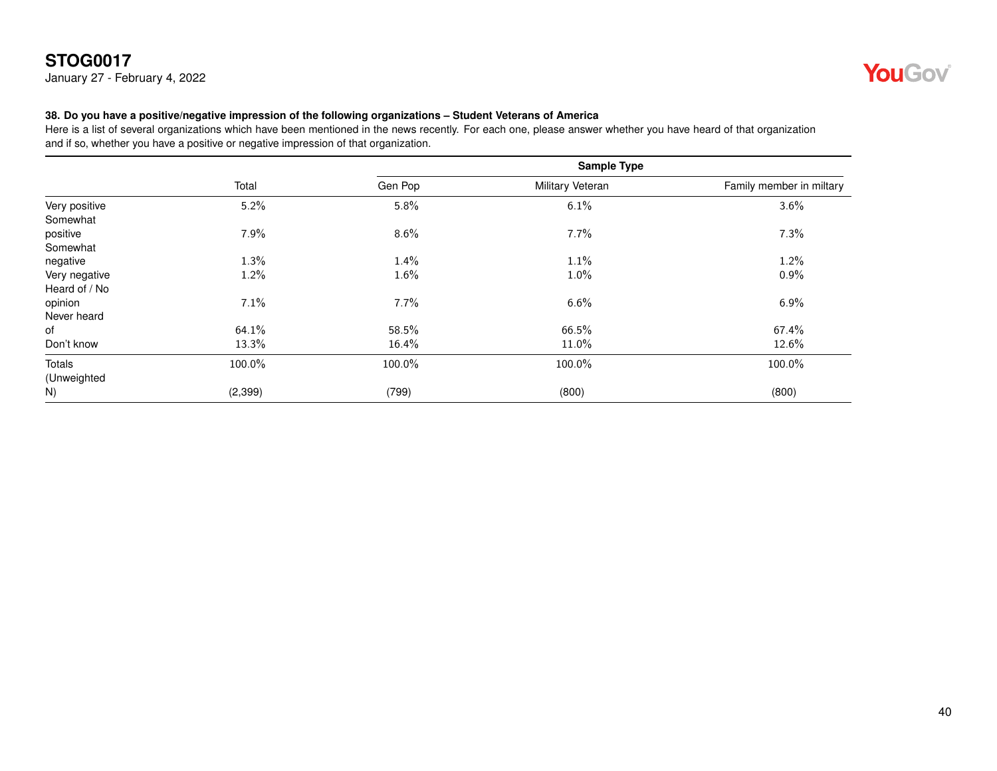January 27 - February 4, 2022



#### <span id="page-39-0"></span>**38. Do you have a positive/negative impression of the following organizations – Student Veterans of America**

|                                |          | Sample Type |                         |                          |
|--------------------------------|----------|-------------|-------------------------|--------------------------|
|                                | Total    | Gen Pop     | <b>Military Veteran</b> | Family member in miltary |
| Very positive<br>Somewhat      | 5.2%     | 5.8%        | 6.1%                    | 3.6%                     |
| positive<br>Somewhat           | 7.9%     | 8.6%        | 7.7%                    | 7.3%                     |
| negative                       | 1.3%     | 1.4%        | 1.1%                    | 1.2%                     |
| Very negative<br>Heard of / No | 1.2%     | 1.6%        | 1.0%                    | 0.9%                     |
| opinion<br>Never heard         | 7.1%     | 7.7%        | 6.6%                    | 6.9%                     |
| of                             | 64.1%    | 58.5%       | 66.5%                   | 67.4%                    |
| Don't know                     | 13.3%    | 16.4%       | 11.0%                   | 12.6%                    |
| Totals<br>(Unweighted          | 100.0%   | 100.0%      | 100.0%                  | 100.0%                   |
| N)                             | (2, 399) | (799)       | (800)                   | (800)                    |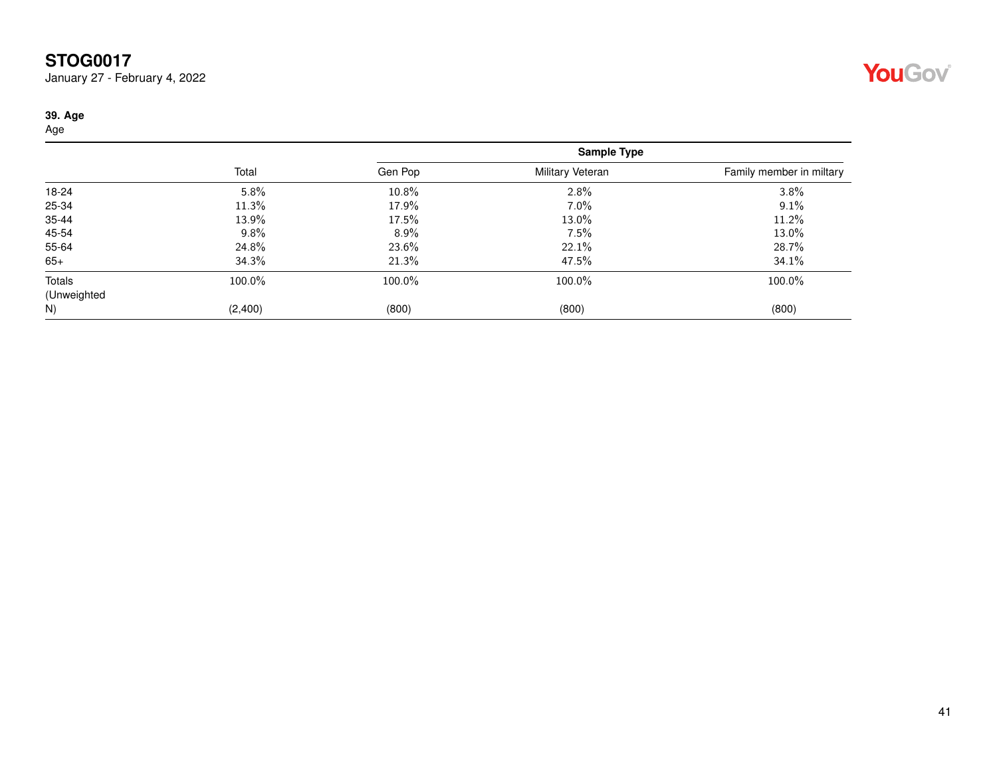January 27 - February 4, 2022

#### <span id="page-40-0"></span>**39. Age**

Age

|             |         | Sample Type |                  |                          |
|-------------|---------|-------------|------------------|--------------------------|
|             | Total   | Gen Pop     | Military Veteran | Family member in miltary |
| 18-24       | 5.8%    | 10.8%       | 2.8%             | 3.8%                     |
| 25-34       | 11.3%   | 17.9%       | 7.0%             | 9.1%                     |
| 35-44       | 13.9%   | 17.5%       | 13.0%            | 11.2%                    |
| 45-54       | 9.8%    | $8.9\%$     | 7.5%             | 13.0%                    |
| 55-64       | 24.8%   | 23.6%       | 22.1%            | 28.7%                    |
| $65+$       | 34.3%   | 21.3%       | 47.5%            | 34.1%                    |
| Totals      | 100.0%  | 100.0%      | 100.0%           | 100.0%                   |
| (Unweighted |         |             |                  |                          |
| N)          | (2,400) | (800)       | (800)            | (800)                    |

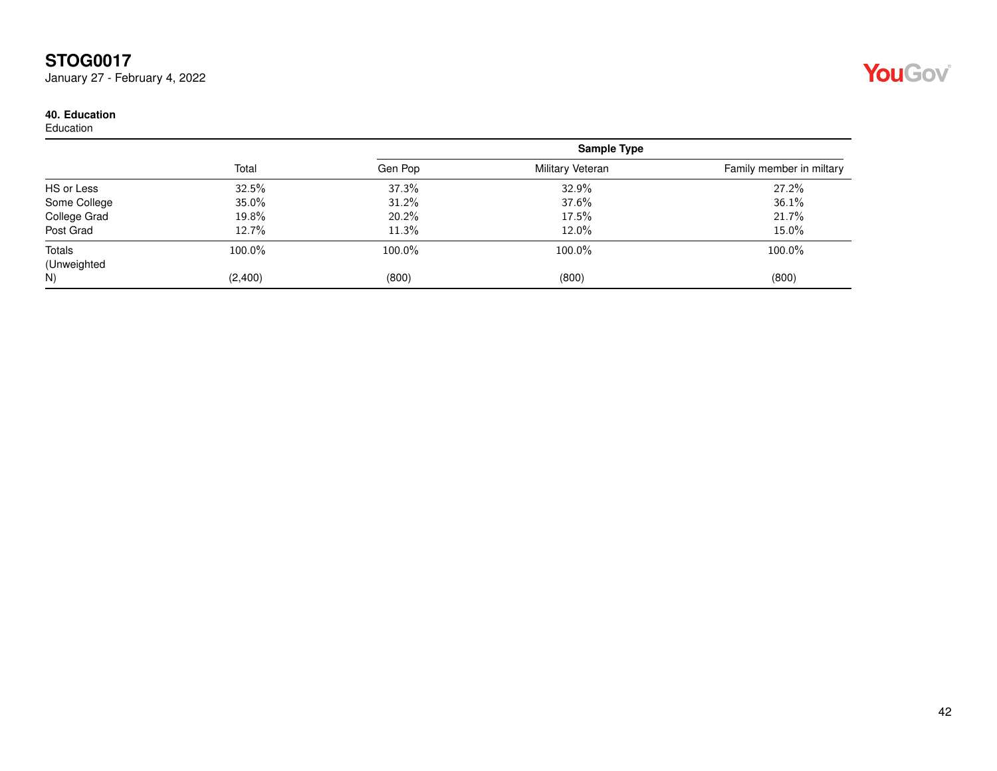January 27 - February 4, 2022

#### <span id="page-41-0"></span>**40. Education**

Education

|              | Total   | Sample Type |                  |                          |
|--------------|---------|-------------|------------------|--------------------------|
|              |         | Gen Pop     | Military Veteran | Family member in miltary |
| HS or Less   | 32.5%   | 37.3%       | 32.9%            | 27.2%                    |
| Some College | 35.0%   | 31.2%       | 37.6%            | 36.1%                    |
| College Grad | 19.8%   | 20.2%       | 17.5%            | 21.7%                    |
| Post Grad    | 12.7%   | 11.3%       | 12.0%            | 15.0%                    |
| Totals       | 100.0%  | 100.0%      | 100.0%           | 100.0%                   |
| (Unweighted  |         |             |                  |                          |
| N)           | (2,400) | (800)       | (800)            | (800)                    |

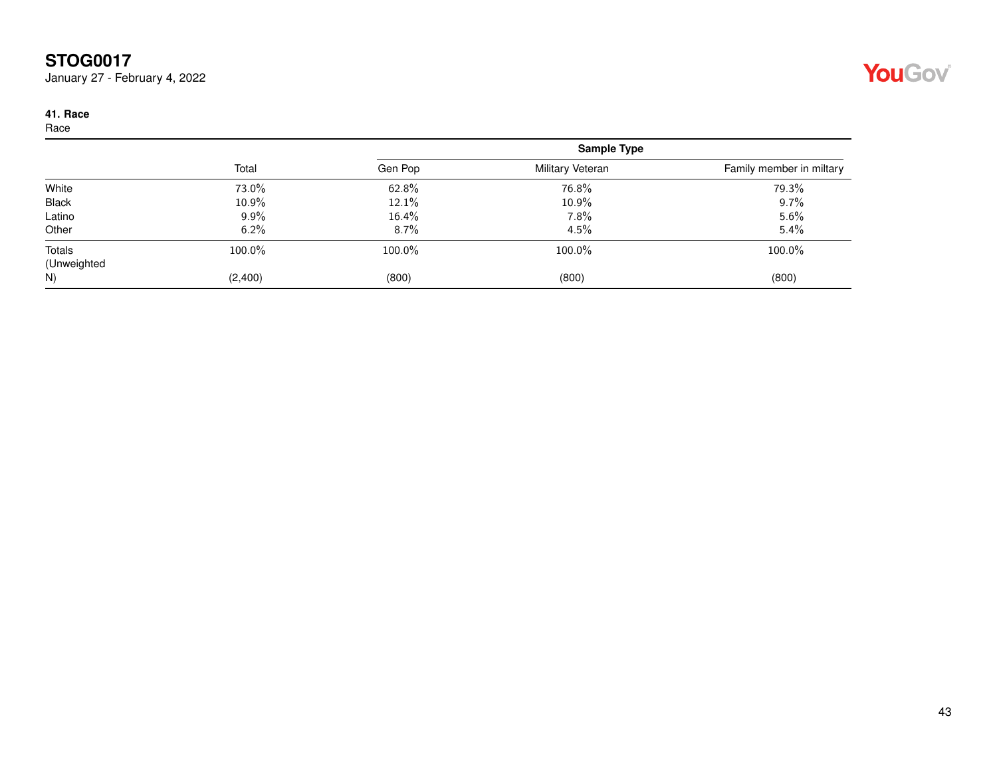January 27 - February 4, 2022

#### <span id="page-42-0"></span>**41. Race**

Race

|             | Total   | <b>Sample Type</b> |                  |                          |
|-------------|---------|--------------------|------------------|--------------------------|
|             |         | Gen Pop            | Military Veteran | Family member in miltary |
| White       | 73.0%   | 62.8%              | 76.8%            | 79.3%                    |
| Black       | 10.9%   | 12.1%              | 10.9%            | 9.7%                     |
| Latino      | $9.9\%$ | 16.4%              | 7.8%             | 5.6%                     |
| Other       | 6.2%    | 8.7%               | 4.5%             | 5.4%                     |
| Totals      | 100.0%  | 100.0%             | 100.0%           | 100.0%                   |
| (Unweighted |         |                    |                  |                          |
| N)          | (2,400) | (800)              | (800)            | (800)                    |

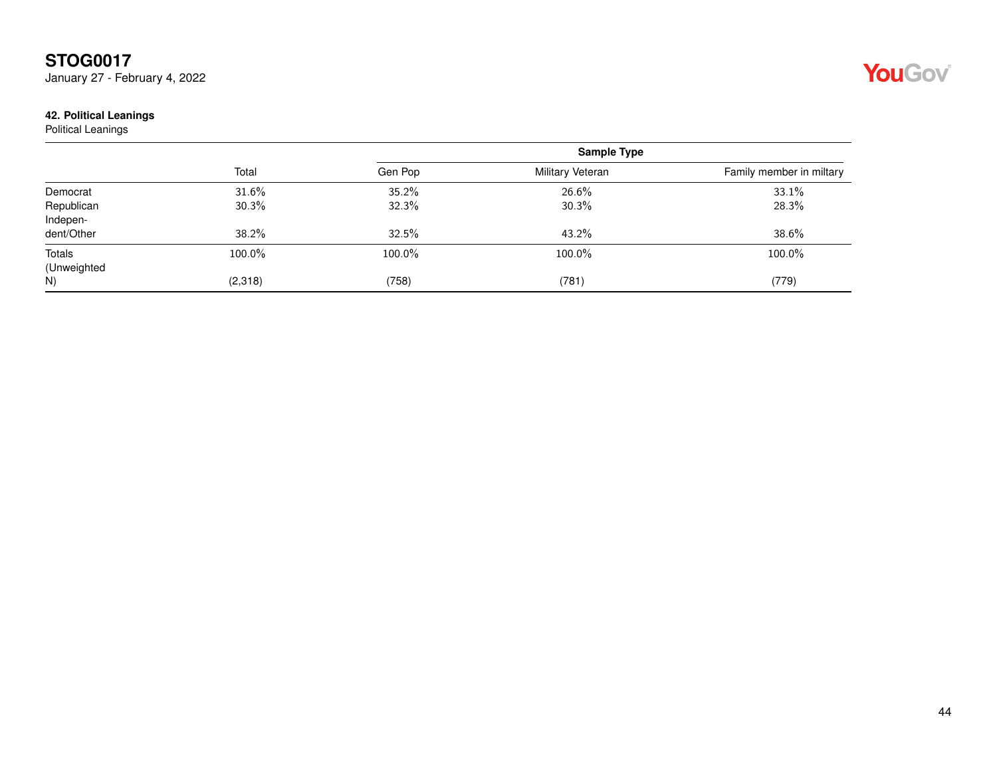January 27 - February 4, 2022

#### <span id="page-43-0"></span>**42. Political Leanings**

Political Leanings

|                        | Total   | <b>Sample Type</b> |                  |                          |
|------------------------|---------|--------------------|------------------|--------------------------|
|                        |         | Gen Pop            | Military Veteran | Family member in miltary |
| Democrat               | 31.6%   | 35.2%              | 26.6%            | 33.1%                    |
| Republican<br>Indepen- | 30.3%   | 32.3%              | 30.3%            | 28.3%                    |
| dent/Other             | 38.2%   | 32.5%              | 43.2%            | 38.6%                    |
| Totals<br>(Unweighted  | 100.0%  | 100.0%             | 100.0%           | 100.0%                   |
| N)                     | (2,318) | (758)              | (781)            | (779)                    |

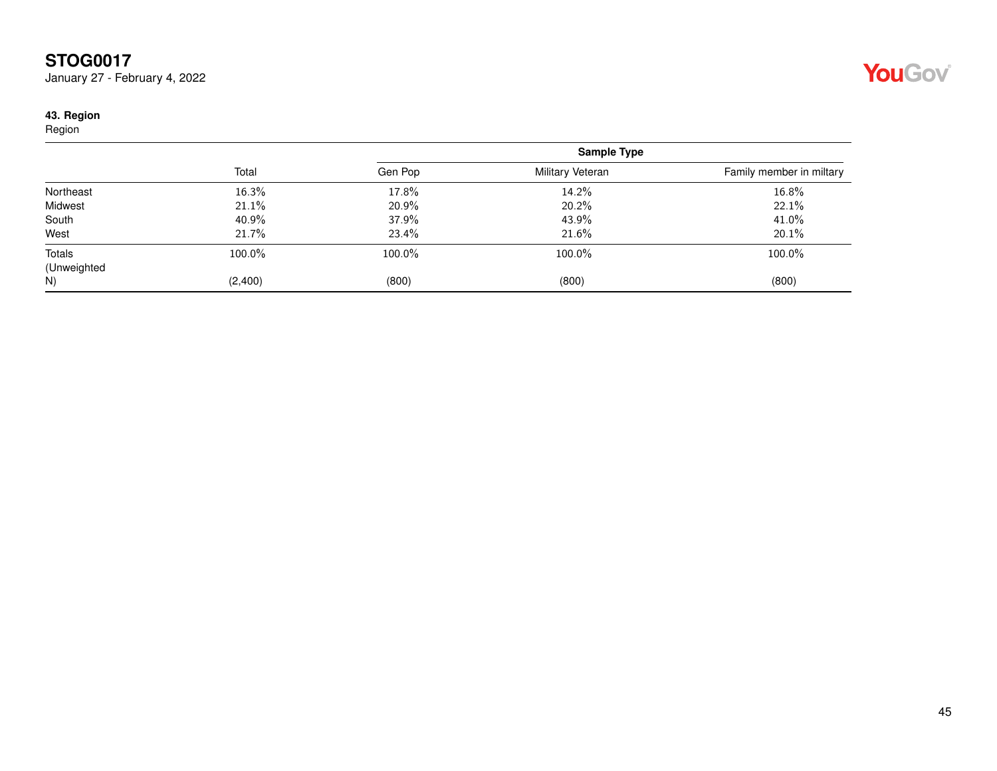January 27 - February 4, 2022

#### <span id="page-44-0"></span>**43. Region**

Region

|             | Total   | <b>Sample Type</b> |                  |                          |
|-------------|---------|--------------------|------------------|--------------------------|
|             |         | Gen Pop            | Military Veteran | Family member in miltary |
| Northeast   | 16.3%   | 17.8%              | 14.2%            | 16.8%                    |
| Midwest     | 21.1%   | 20.9%              | 20.2%            | 22.1%                    |
| South       | 40.9%   | 37.9%              | 43.9%            | 41.0%                    |
| West        | 21.7%   | 23.4%              | 21.6%            | 20.1%                    |
| Totals      | 100.0%  | 100.0%             | 100.0%           | 100.0%                   |
| (Unweighted |         |                    |                  |                          |
| N)          | (2,400) | (800)              | (800)            | (800)                    |

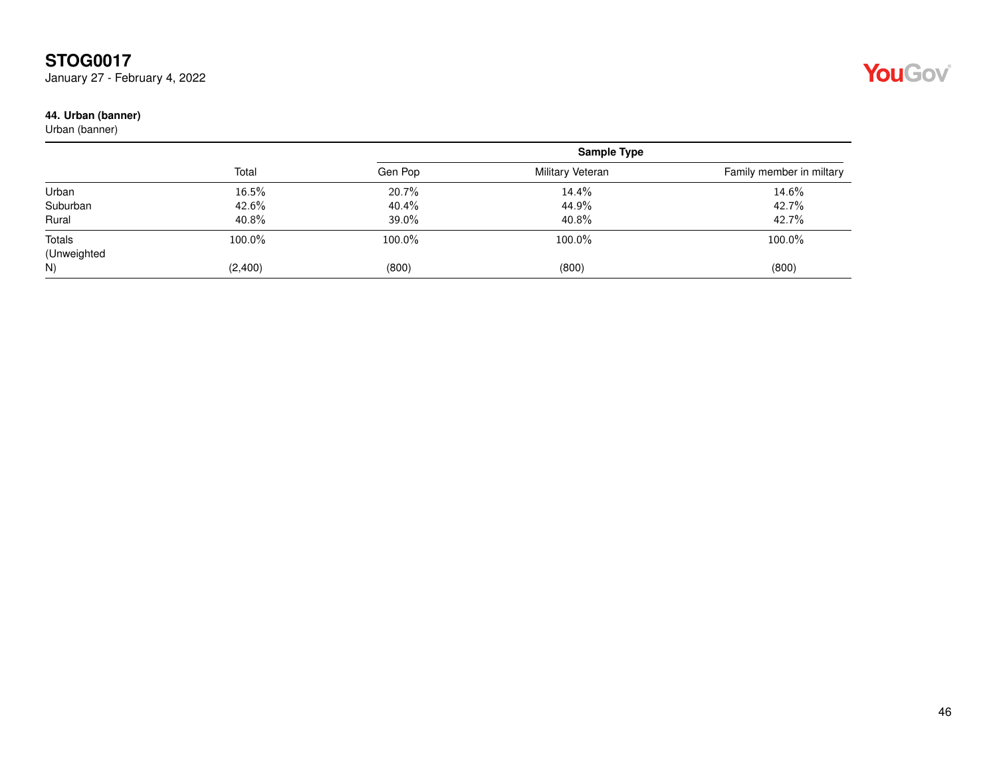January 27 - February 4, 2022

#### <span id="page-45-0"></span>**44. Urban (banner)**

Urban (banner)

|             | Total   | <b>Sample Type</b> |                  |                          |
|-------------|---------|--------------------|------------------|--------------------------|
|             |         | Gen Pop            | Military Veteran | Family member in miltary |
| Urban       | 16.5%   | 20.7%              | 14.4%            | 14.6%                    |
| Suburban    | 42.6%   | 40.4%              | 44.9%            | 42.7%                    |
| Rural       | 40.8%   | 39.0%              | 40.8%            | 42.7%                    |
| Totals      | 100.0%  | 100.0%             | 100.0%           | 100.0%                   |
| (Unweighted |         |                    |                  |                          |
| N)          | (2,400) | (800)              | (800)            | (800)                    |